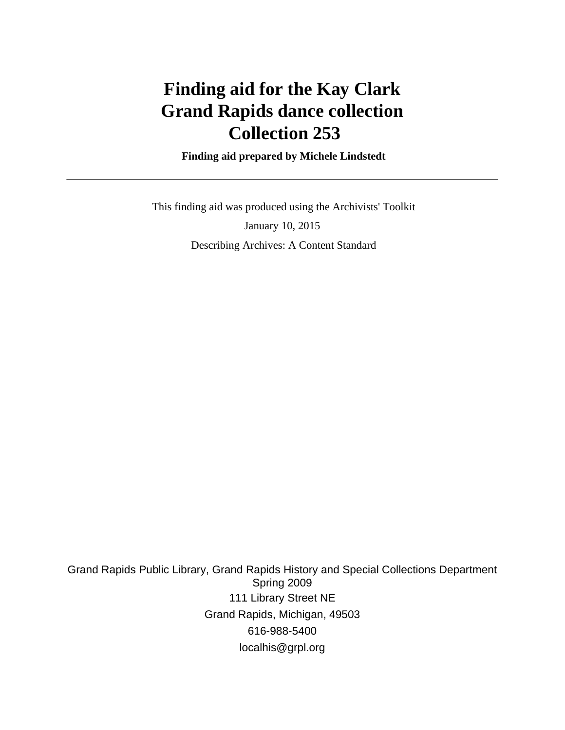# **Finding aid for the Kay Clark Grand Rapids dance collection Collection 253**

 **Finding aid prepared by Michele Lindstedt**

 This finding aid was produced using the Archivists' Toolkit January 10, 2015 Describing Archives: A Content Standard

Grand Rapids Public Library, Grand Rapids History and Special Collections Department Spring 2009 111 Library Street NE Grand Rapids, Michigan, 49503 616-988-5400 localhis@grpl.org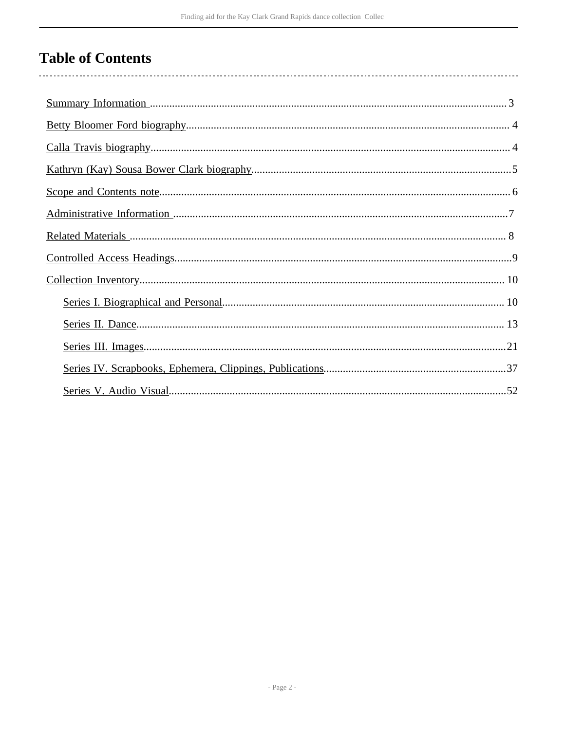# **Table of Contents**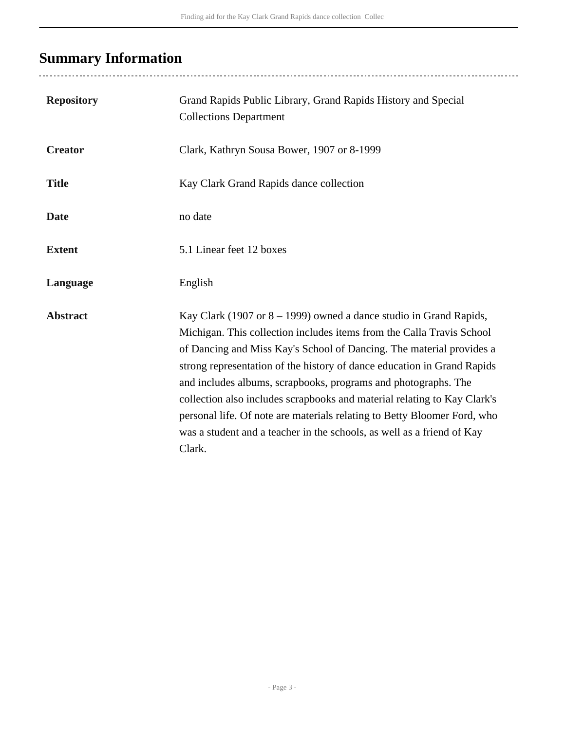# <span id="page-2-0"></span>**Summary Information**

..................................

| <b>Repository</b> | Grand Rapids Public Library, Grand Rapids History and Special<br><b>Collections Department</b>                                                                                                                                                                                                                                                                                                                                                                                                                                                                                                                  |
|-------------------|-----------------------------------------------------------------------------------------------------------------------------------------------------------------------------------------------------------------------------------------------------------------------------------------------------------------------------------------------------------------------------------------------------------------------------------------------------------------------------------------------------------------------------------------------------------------------------------------------------------------|
| <b>Creator</b>    | Clark, Kathryn Sousa Bower, 1907 or 8-1999                                                                                                                                                                                                                                                                                                                                                                                                                                                                                                                                                                      |
| <b>Title</b>      | Kay Clark Grand Rapids dance collection                                                                                                                                                                                                                                                                                                                                                                                                                                                                                                                                                                         |
| <b>Date</b>       | no date                                                                                                                                                                                                                                                                                                                                                                                                                                                                                                                                                                                                         |
| <b>Extent</b>     | 5.1 Linear feet 12 boxes                                                                                                                                                                                                                                                                                                                                                                                                                                                                                                                                                                                        |
| Language          | English                                                                                                                                                                                                                                                                                                                                                                                                                                                                                                                                                                                                         |
| <b>Abstract</b>   | Kay Clark (1907 or $8 - 1999$ ) owned a dance studio in Grand Rapids,<br>Michigan. This collection includes items from the Calla Travis School<br>of Dancing and Miss Kay's School of Dancing. The material provides a<br>strong representation of the history of dance education in Grand Rapids<br>and includes albums, scrapbooks, programs and photographs. The<br>collection also includes scrapbooks and material relating to Kay Clark's<br>personal life. Of note are materials relating to Betty Bloomer Ford, who<br>was a student and a teacher in the schools, as well as a friend of Kay<br>Clark. |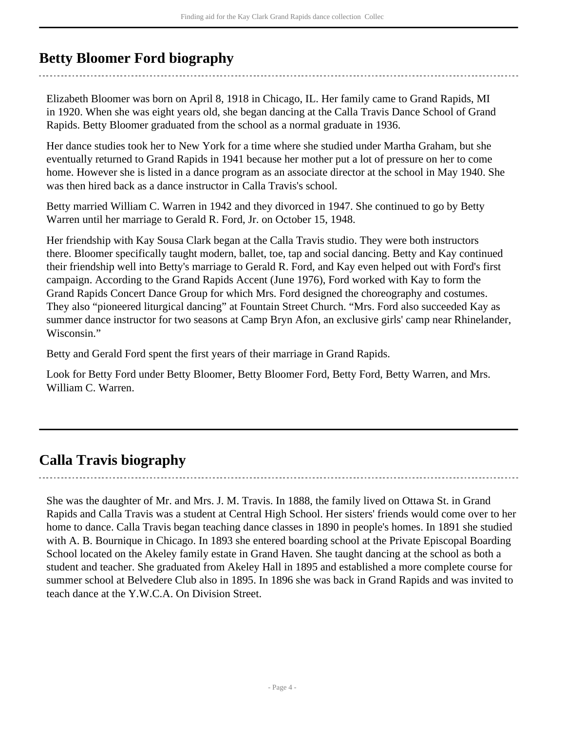# <span id="page-3-0"></span>**Betty Bloomer Ford biography**

Elizabeth Bloomer was born on April 8, 1918 in Chicago, IL. Her family came to Grand Rapids, MI in 1920. When she was eight years old, she began dancing at the Calla Travis Dance School of Grand Rapids. Betty Bloomer graduated from the school as a normal graduate in 1936.

Her dance studies took her to New York for a time where she studied under Martha Graham, but she eventually returned to Grand Rapids in 1941 because her mother put a lot of pressure on her to come home. However she is listed in a dance program as an associate director at the school in May 1940. She was then hired back as a dance instructor in Calla Travis's school.

Betty married William C. Warren in 1942 and they divorced in 1947. She continued to go by Betty Warren until her marriage to Gerald R. Ford, Jr. on October 15, 1948.

Her friendship with Kay Sousa Clark began at the Calla Travis studio. They were both instructors there. Bloomer specifically taught modern, ballet, toe, tap and social dancing. Betty and Kay continued their friendship well into Betty's marriage to Gerald R. Ford, and Kay even helped out with Ford's first campaign. According to the Grand Rapids Accent (June 1976), Ford worked with Kay to form the Grand Rapids Concert Dance Group for which Mrs. Ford designed the choreography and costumes. They also "pioneered liturgical dancing" at Fountain Street Church. "Mrs. Ford also succeeded Kay as summer dance instructor for two seasons at Camp Bryn Afon, an exclusive girls' camp near Rhinelander, Wisconsin."

Betty and Gerald Ford spent the first years of their marriage in Grand Rapids.

Look for Betty Ford under Betty Bloomer, Betty Bloomer Ford, Betty Ford, Betty Warren, and Mrs. William C. Warren.

# <span id="page-3-1"></span>**Calla Travis biography**

She was the daughter of Mr. and Mrs. J. M. Travis. In 1888, the family lived on Ottawa St. in Grand Rapids and Calla Travis was a student at Central High School. Her sisters' friends would come over to her home to dance. Calla Travis began teaching dance classes in 1890 in people's homes. In 1891 she studied with A. B. Bournique in Chicago. In 1893 she entered boarding school at the Private Episcopal Boarding School located on the Akeley family estate in Grand Haven. She taught dancing at the school as both a student and teacher. She graduated from Akeley Hall in 1895 and established a more complete course for summer school at Belvedere Club also in 1895. In 1896 she was back in Grand Rapids and was invited to teach dance at the Y.W.C.A. On Division Street.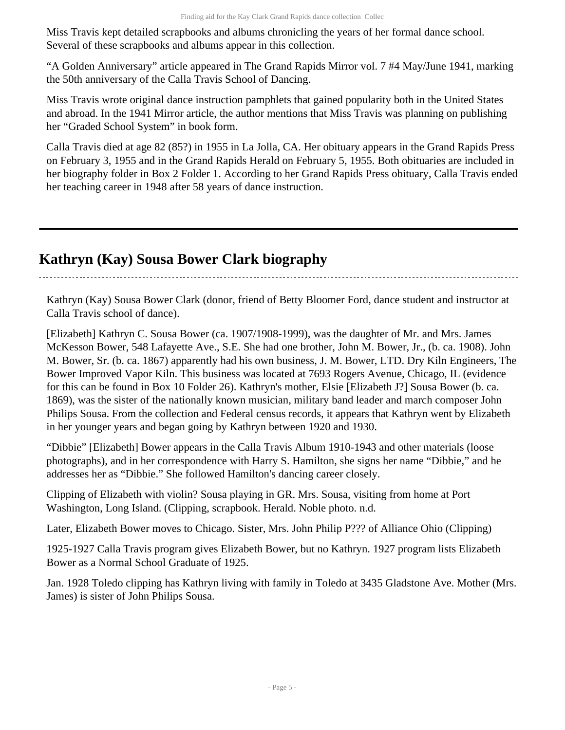Miss Travis kept detailed scrapbooks and albums chronicling the years of her formal dance school. Several of these scrapbooks and albums appear in this collection.

"A Golden Anniversary" article appeared in The Grand Rapids Mirror vol. 7 #4 May/June 1941, marking the 50th anniversary of the Calla Travis School of Dancing.

Miss Travis wrote original dance instruction pamphlets that gained popularity both in the United States and abroad. In the 1941 Mirror article, the author mentions that Miss Travis was planning on publishing her "Graded School System" in book form.

Calla Travis died at age 82 (85?) in 1955 in La Jolla, CA. Her obituary appears in the Grand Rapids Press on February 3, 1955 and in the Grand Rapids Herald on February 5, 1955. Both obituaries are included in her biography folder in Box 2 Folder 1. According to her Grand Rapids Press obituary, Calla Travis ended her teaching career in 1948 after 58 years of dance instruction.

# <span id="page-4-0"></span>**Kathryn (Kay) Sousa Bower Clark biography**

Kathryn (Kay) Sousa Bower Clark (donor, friend of Betty Bloomer Ford, dance student and instructor at Calla Travis school of dance).

[Elizabeth] Kathryn C. Sousa Bower (ca. 1907/1908-1999), was the daughter of Mr. and Mrs. James McKesson Bower, 548 Lafayette Ave., S.E. She had one brother, John M. Bower, Jr., (b. ca. 1908). John M. Bower, Sr. (b. ca. 1867) apparently had his own business, J. M. Bower, LTD. Dry Kiln Engineers, The Bower Improved Vapor Kiln. This business was located at 7693 Rogers Avenue, Chicago, IL (evidence for this can be found in Box 10 Folder 26). Kathryn's mother, Elsie [Elizabeth J?] Sousa Bower (b. ca. 1869), was the sister of the nationally known musician, military band leader and march composer John Philips Sousa. From the collection and Federal census records, it appears that Kathryn went by Elizabeth in her younger years and began going by Kathryn between 1920 and 1930.

"Dibbie" [Elizabeth] Bower appears in the Calla Travis Album 1910-1943 and other materials (loose photographs), and in her correspondence with Harry S. Hamilton, she signs her name "Dibbie," and he addresses her as "Dibbie." She followed Hamilton's dancing career closely.

Clipping of Elizabeth with violin? Sousa playing in GR. Mrs. Sousa, visiting from home at Port Washington, Long Island. (Clipping, scrapbook. Herald. Noble photo. n.d.

Later, Elizabeth Bower moves to Chicago. Sister, Mrs. John Philip P??? of Alliance Ohio (Clipping)

1925-1927 Calla Travis program gives Elizabeth Bower, but no Kathryn. 1927 program lists Elizabeth Bower as a Normal School Graduate of 1925.

Jan. 1928 Toledo clipping has Kathryn living with family in Toledo at 3435 Gladstone Ave. Mother (Mrs. James) is sister of John Philips Sousa.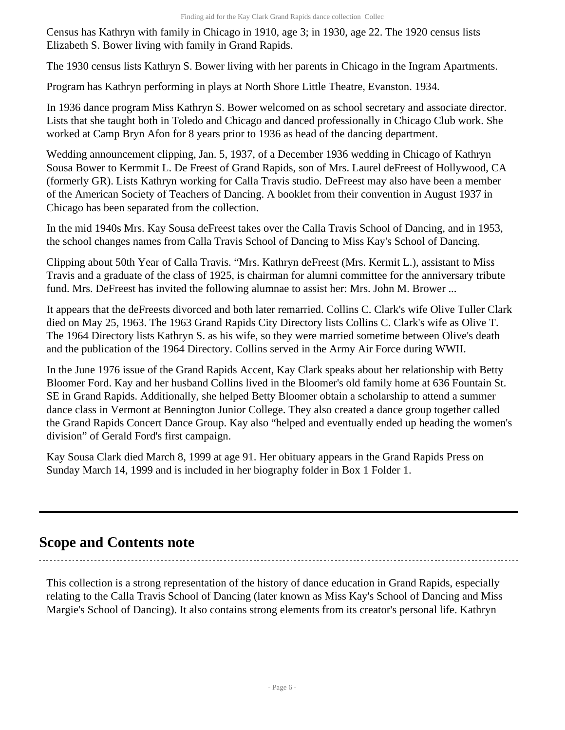Census has Kathryn with family in Chicago in 1910, age 3; in 1930, age 22. The 1920 census lists Elizabeth S. Bower living with family in Grand Rapids.

The 1930 census lists Kathryn S. Bower living with her parents in Chicago in the Ingram Apartments.

Program has Kathryn performing in plays at North Shore Little Theatre, Evanston. 1934.

In 1936 dance program Miss Kathryn S. Bower welcomed on as school secretary and associate director. Lists that she taught both in Toledo and Chicago and danced professionally in Chicago Club work. She worked at Camp Bryn Afon for 8 years prior to 1936 as head of the dancing department.

Wedding announcement clipping, Jan. 5, 1937, of a December 1936 wedding in Chicago of Kathryn Sousa Bower to Kermmit L. De Freest of Grand Rapids, son of Mrs. Laurel deFreest of Hollywood, CA (formerly GR). Lists Kathryn working for Calla Travis studio. DeFreest may also have been a member of the American Society of Teachers of Dancing. A booklet from their convention in August 1937 in Chicago has been separated from the collection.

In the mid 1940s Mrs. Kay Sousa deFreest takes over the Calla Travis School of Dancing, and in 1953, the school changes names from Calla Travis School of Dancing to Miss Kay's School of Dancing.

Clipping about 50th Year of Calla Travis. "Mrs. Kathryn deFreest (Mrs. Kermit L.), assistant to Miss Travis and a graduate of the class of 1925, is chairman for alumni committee for the anniversary tribute fund. Mrs. DeFreest has invited the following alumnae to assist her: Mrs. John M. Brower ...

It appears that the deFreests divorced and both later remarried. Collins C. Clark's wife Olive Tuller Clark died on May 25, 1963. The 1963 Grand Rapids City Directory lists Collins C. Clark's wife as Olive T. The 1964 Directory lists Kathryn S. as his wife, so they were married sometime between Olive's death and the publication of the 1964 Directory. Collins served in the Army Air Force during WWII.

In the June 1976 issue of the Grand Rapids Accent, Kay Clark speaks about her relationship with Betty Bloomer Ford. Kay and her husband Collins lived in the Bloomer's old family home at 636 Fountain St. SE in Grand Rapids. Additionally, she helped Betty Bloomer obtain a scholarship to attend a summer dance class in Vermont at Bennington Junior College. They also created a dance group together called the Grand Rapids Concert Dance Group. Kay also "helped and eventually ended up heading the women's division" of Gerald Ford's first campaign.

Kay Sousa Clark died March 8, 1999 at age 91. Her obituary appears in the Grand Rapids Press on Sunday March 14, 1999 and is included in her biography folder in Box 1 Folder 1.

# <span id="page-5-0"></span>**Scope and Contents note**

This collection is a strong representation of the history of dance education in Grand Rapids, especially relating to the Calla Travis School of Dancing (later known as Miss Kay's School of Dancing and Miss Margie's School of Dancing). It also contains strong elements from its creator's personal life. Kathryn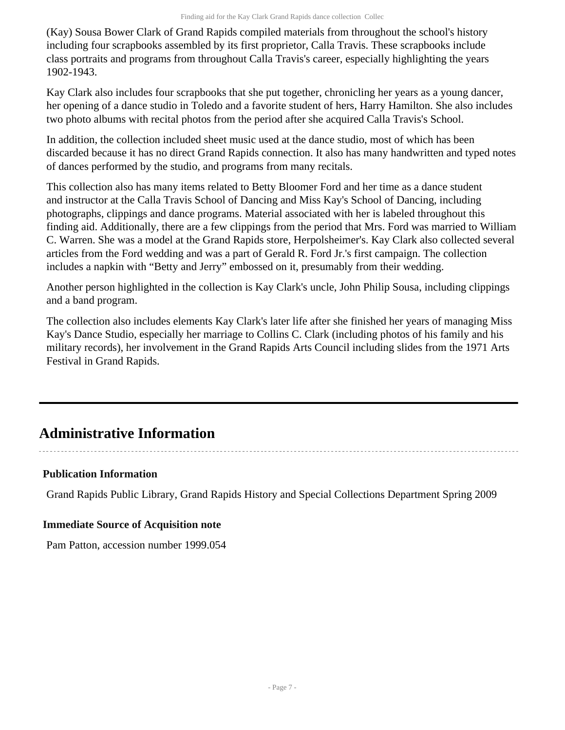(Kay) Sousa Bower Clark of Grand Rapids compiled materials from throughout the school's history including four scrapbooks assembled by its first proprietor, Calla Travis. These scrapbooks include class portraits and programs from throughout Calla Travis's career, especially highlighting the years 1902-1943.

Kay Clark also includes four scrapbooks that she put together, chronicling her years as a young dancer, her opening of a dance studio in Toledo and a favorite student of hers, Harry Hamilton. She also includes two photo albums with recital photos from the period after she acquired Calla Travis's School.

In addition, the collection included sheet music used at the dance studio, most of which has been discarded because it has no direct Grand Rapids connection. It also has many handwritten and typed notes of dances performed by the studio, and programs from many recitals.

This collection also has many items related to Betty Bloomer Ford and her time as a dance student and instructor at the Calla Travis School of Dancing and Miss Kay's School of Dancing, including photographs, clippings and dance programs. Material associated with her is labeled throughout this finding aid. Additionally, there are a few clippings from the period that Mrs. Ford was married to William C. Warren. She was a model at the Grand Rapids store, Herpolsheimer's. Kay Clark also collected several articles from the Ford wedding and was a part of Gerald R. Ford Jr.'s first campaign. The collection includes a napkin with "Betty and Jerry" embossed on it, presumably from their wedding.

Another person highlighted in the collection is Kay Clark's uncle, John Philip Sousa, including clippings and a band program.

The collection also includes elements Kay Clark's later life after she finished her years of managing Miss Kay's Dance Studio, especially her marriage to Collins C. Clark (including photos of his family and his military records), her involvement in the Grand Rapids Arts Council including slides from the 1971 Arts Festival in Grand Rapids.

# <span id="page-6-0"></span>**Administrative Information**

# **Publication Information**

Grand Rapids Public Library, Grand Rapids History and Special Collections Department Spring 2009

## **Immediate Source of Acquisition note**

Pam Patton, accession number 1999.054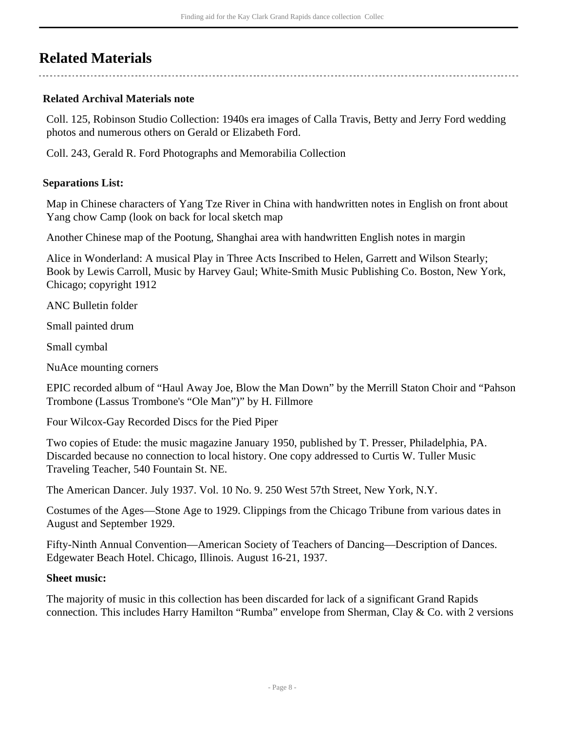# <span id="page-7-0"></span>**Related Materials**

## **Related Archival Materials note**

Coll. 125, Robinson Studio Collection: 1940s era images of Calla Travis, Betty and Jerry Ford wedding photos and numerous others on Gerald or Elizabeth Ford.

Coll. 243, Gerald R. Ford Photographs and Memorabilia Collection

#### **Separations List:**

Map in Chinese characters of Yang Tze River in China with handwritten notes in English on front about Yang chow Camp (look on back for local sketch map

Another Chinese map of the Pootung, Shanghai area with handwritten English notes in margin

Alice in Wonderland: A musical Play in Three Acts Inscribed to Helen, Garrett and Wilson Stearly; Book by Lewis Carroll, Music by Harvey Gaul; White-Smith Music Publishing Co. Boston, New York, Chicago; copyright 1912

ANC Bulletin folder

Small painted drum

Small cymbal

NuAce mounting corners

EPIC recorded album of "Haul Away Joe, Blow the Man Down" by the Merrill Staton Choir and "Pahson Trombone (Lassus Trombone's "Ole Man")" by H. Fillmore

Four Wilcox-Gay Recorded Discs for the Pied Piper

Two copies of Etude: the music magazine January 1950, published by T. Presser, Philadelphia, PA. Discarded because no connection to local history. One copy addressed to Curtis W. Tuller Music Traveling Teacher, 540 Fountain St. NE.

The American Dancer. July 1937. Vol. 10 No. 9. 250 West 57th Street, New York, N.Y.

Costumes of the Ages—Stone Age to 1929. Clippings from the Chicago Tribune from various dates in August and September 1929.

Fifty-Ninth Annual Convention—American Society of Teachers of Dancing—Description of Dances. Edgewater Beach Hotel. Chicago, Illinois. August 16-21, 1937.

#### **Sheet music:**

The majority of music in this collection has been discarded for lack of a significant Grand Rapids connection. This includes Harry Hamilton "Rumba" envelope from Sherman, Clay & Co. with 2 versions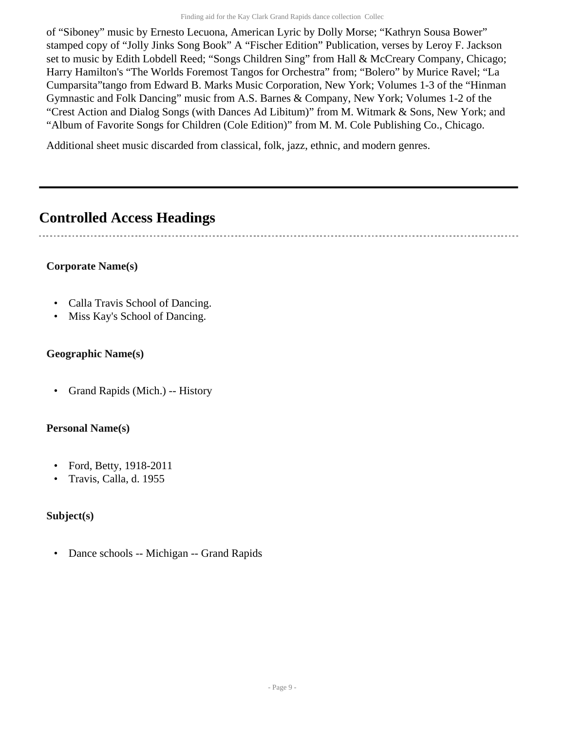of "Siboney" music by Ernesto Lecuona, American Lyric by Dolly Morse; "Kathryn Sousa Bower" stamped copy of "Jolly Jinks Song Book" A "Fischer Edition" Publication, verses by Leroy F. Jackson set to music by Edith Lobdell Reed; "Songs Children Sing" from Hall & McCreary Company, Chicago; Harry Hamilton's "The Worlds Foremost Tangos for Orchestra" from; "Bolero" by Murice Ravel; "La Cumparsita"tango from Edward B. Marks Music Corporation, New York; Volumes 1-3 of the "Hinman Gymnastic and Folk Dancing" music from A.S. Barnes & Company, New York; Volumes 1-2 of the "Crest Action and Dialog Songs (with Dances Ad Libitum)" from M. Witmark & Sons, New York; and "Album of Favorite Songs for Children (Cole Edition)" from M. M. Cole Publishing Co., Chicago.

Additional sheet music discarded from classical, folk, jazz, ethnic, and modern genres.

# <span id="page-8-0"></span>**Controlled Access Headings**

# **Corporate Name(s)**

- Calla Travis School of Dancing.
- Miss Kay's School of Dancing.

# **Geographic Name(s)**

• Grand Rapids (Mich.) -- History

# **Personal Name(s)**

- Ford, Betty, 1918-2011
- Travis, Calla, d. 1955

# **Subject(s)**

• Dance schools -- Michigan -- Grand Rapids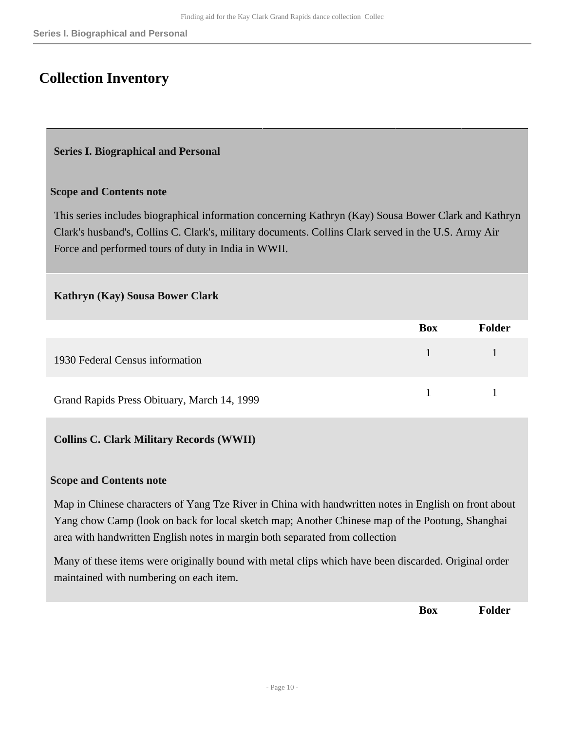# <span id="page-9-0"></span>**Collection Inventory**

#### <span id="page-9-1"></span>**Series I. Biographical and Personal**

#### **Scope and Contents note**

This series includes biographical information concerning Kathryn (Kay) Sousa Bower Clark and Kathryn Clark's husband's, Collins C. Clark's, military documents. Collins Clark served in the U.S. Army Air Force and performed tours of duty in India in WWII.

#### **Kathryn (Kay) Sousa Bower Clark**

|                                             | <b>Box</b> | Folder |
|---------------------------------------------|------------|--------|
| 1930 Federal Census information             |            |        |
| Grand Rapids Press Obituary, March 14, 1999 |            |        |

#### **Collins C. Clark Military Records (WWII)**

#### **Scope and Contents note**

Map in Chinese characters of Yang Tze River in China with handwritten notes in English on front about Yang chow Camp (look on back for local sketch map; Another Chinese map of the Pootung, Shanghai area with handwritten English notes in margin both separated from collection

Many of these items were originally bound with metal clips which have been discarded. Original order maintained with numbering on each item.

**Box Folder**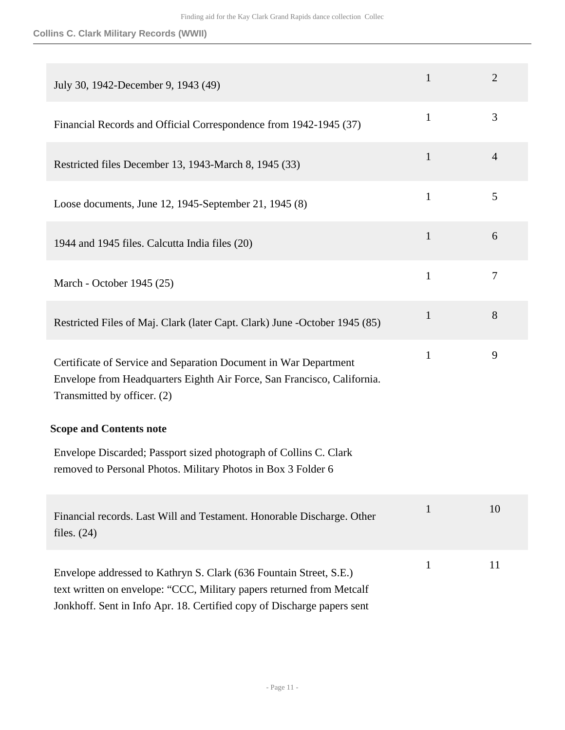## **Collins C. Clark Military Records (WWII)**

| July 30, 1942-December 9, 1943 (49)                                                                                                                                                                                    | $\mathbf{1}$ | $\overline{2}$ |
|------------------------------------------------------------------------------------------------------------------------------------------------------------------------------------------------------------------------|--------------|----------------|
| Financial Records and Official Correspondence from 1942-1945 (37)                                                                                                                                                      | $\mathbf{1}$ | 3              |
| Restricted files December 13, 1943-March 8, 1945 (33)                                                                                                                                                                  | $\mathbf{1}$ | 4              |
| Loose documents, June 12, 1945-September 21, 1945 (8)                                                                                                                                                                  | $\mathbf{1}$ | 5              |
| 1944 and 1945 files. Calcutta India files (20)                                                                                                                                                                         | $\mathbf{1}$ | 6              |
| March - October 1945 (25)                                                                                                                                                                                              | $\mathbf{1}$ | $\overline{7}$ |
| Restricted Files of Maj. Clark (later Capt. Clark) June -October 1945 (85)                                                                                                                                             | $\mathbf{1}$ | 8              |
| Certificate of Service and Separation Document in War Department<br>Envelope from Headquarters Eighth Air Force, San Francisco, California.<br>Transmitted by officer. (2)                                             | $\mathbf{1}$ | 9              |
| <b>Scope and Contents note</b>                                                                                                                                                                                         |              |                |
| Envelope Discarded; Passport sized photograph of Collins C. Clark<br>removed to Personal Photos. Military Photos in Box 3 Folder 6                                                                                     |              |                |
| Financial records. Last Will and Testament. Honorable Discharge. Other<br>files. $(24)$                                                                                                                                | $\mathbf{1}$ | 10             |
| Envelope addressed to Kathryn S. Clark (636 Fountain Street, S.E.)<br>text written on envelope: "CCC, Military papers returned from Metcalf<br>Jonkhoff. Sent in Info Apr. 18. Certified copy of Discharge papers sent | $\mathbf{1}$ | 11             |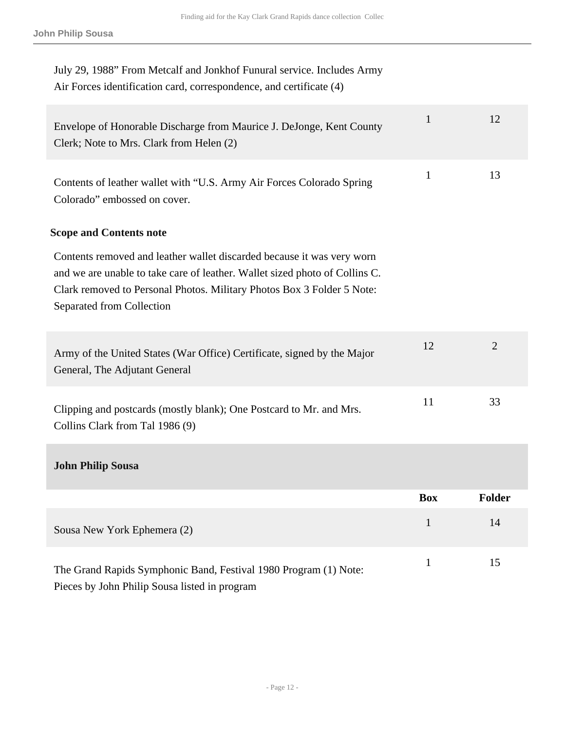| July 29, 1988" From Metcalf and Jonkhof Funural service. Includes Army<br>Air Forces identification card, correspondence, and certificate (4)                                                                                                                |              |                |
|--------------------------------------------------------------------------------------------------------------------------------------------------------------------------------------------------------------------------------------------------------------|--------------|----------------|
| Envelope of Honorable Discharge from Maurice J. DeJonge, Kent County<br>Clerk; Note to Mrs. Clark from Helen (2)                                                                                                                                             | $\mathbf{1}$ | 12             |
| Contents of leather wallet with "U.S. Army Air Forces Colorado Spring<br>Colorado" embossed on cover.                                                                                                                                                        | $\mathbf{1}$ | 13             |
| <b>Scope and Contents note</b>                                                                                                                                                                                                                               |              |                |
| Contents removed and leather wallet discarded because it was very worn<br>and we are unable to take care of leather. Wallet sized photo of Collins C.<br>Clark removed to Personal Photos. Military Photos Box 3 Folder 5 Note:<br>Separated from Collection |              |                |
| Army of the United States (War Office) Certificate, signed by the Major<br>General, The Adjutant General                                                                                                                                                     | 12           | $\overline{2}$ |
| Clipping and postcards (mostly blank); One Postcard to Mr. and Mrs.<br>Collins Clark from Tal 1986 (9)                                                                                                                                                       | 11           | 33             |
| <b>John Philip Sousa</b>                                                                                                                                                                                                                                     |              |                |
|                                                                                                                                                                                                                                                              | <b>Box</b>   | <b>Folder</b>  |
| Sousa New York Ephemera (2)                                                                                                                                                                                                                                  | $\mathbf{1}$ | 14             |
| The Grand Rapids Symphonic Band, Festival 1980 Program (1) Note:<br>Pieces by John Philip Sousa listed in program                                                                                                                                            | $\mathbf{1}$ | 15             |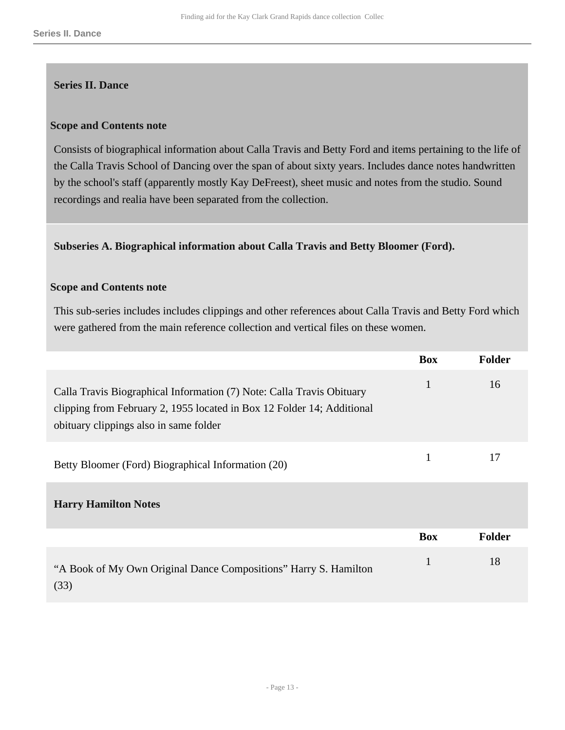#### <span id="page-12-0"></span>**Series II. Dance**

#### **Scope and Contents note**

Consists of biographical information about Calla Travis and Betty Ford and items pertaining to the life of the Calla Travis School of Dancing over the span of about sixty years. Includes dance notes handwritten by the school's staff (apparently mostly Kay DeFreest), sheet music and notes from the studio. Sound recordings and realia have been separated from the collection.

#### **Subseries A. Biographical information about Calla Travis and Betty Bloomer (Ford).**

#### **Scope and Contents note**

This sub-series includes includes clippings and other references about Calla Travis and Betty Ford which were gathered from the main reference collection and vertical files on these women.

|                                                                                                                                                                                           | <b>Box</b>   | <b>Folder</b> |
|-------------------------------------------------------------------------------------------------------------------------------------------------------------------------------------------|--------------|---------------|
| Calla Travis Biographical Information (7) Note: Calla Travis Obituary<br>clipping from February 2, 1955 located in Box 12 Folder 14; Additional<br>obituary clippings also in same folder | $\mathbf{1}$ | 16            |
| Betty Bloomer (Ford) Biographical Information (20)                                                                                                                                        | $\mathbf{1}$ | 17            |
| <b>Harry Hamilton Notes</b>                                                                                                                                                               |              |               |
|                                                                                                                                                                                           | <b>Box</b>   | <b>Folder</b> |
| "A Book of My Own Original Dance Compositions" Harry S. Hamilton<br>(33)                                                                                                                  | 1            | 18            |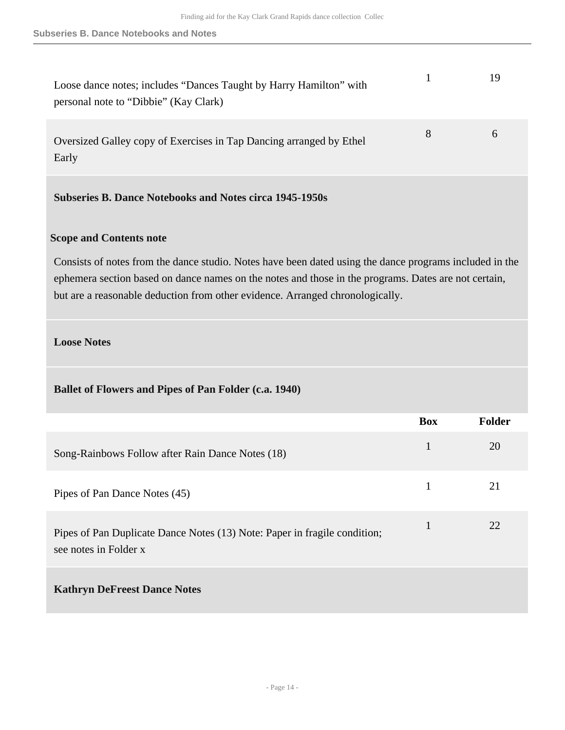| Loose dance notes; includes "Dances Taught by Harry Hamilton" with<br>personal note to "Dibbie" (Kay Clark) |   |  |
|-------------------------------------------------------------------------------------------------------------|---|--|
| Oversized Galley copy of Exercises in Tap Dancing arranged by Ethel<br>Early                                | 8 |  |

# **Subseries B. Dance Notebooks and Notes circa 1945-1950s**

#### **Scope and Contents note**

Consists of notes from the dance studio. Notes have been dated using the dance programs included in the ephemera section based on dance names on the notes and those in the programs. Dates are not certain, but are a reasonable deduction from other evidence. Arranged chronologically.

#### **Loose Notes**

#### **Ballet of Flowers and Pipes of Pan Folder (c.a. 1940)**

|                                                                                                    | <b>Box</b> | Folder |
|----------------------------------------------------------------------------------------------------|------------|--------|
| Song-Rainbows Follow after Rain Dance Notes (18)                                                   | 1          | 20     |
| Pipes of Pan Dance Notes (45)                                                                      | 1          | 21     |
| Pipes of Pan Duplicate Dance Notes (13) Note: Paper in fragile condition;<br>see notes in Folder x | 1          | 22     |
| <b>Kathryn DeFreest Dance Notes</b>                                                                |            |        |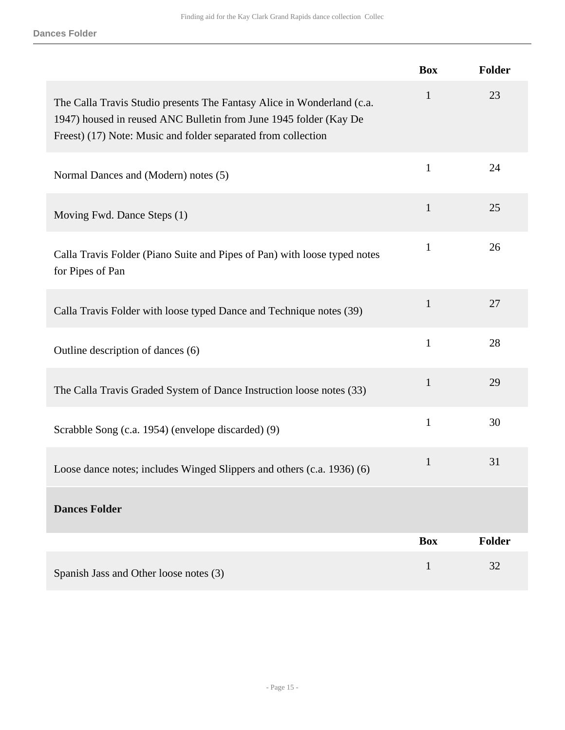|                                                                                                                                                                                                              | <b>Box</b>   | Folder        |
|--------------------------------------------------------------------------------------------------------------------------------------------------------------------------------------------------------------|--------------|---------------|
| The Calla Travis Studio presents The Fantasy Alice in Wonderland (c.a.<br>1947) housed in reused ANC Bulletin from June 1945 folder (Kay De<br>Freest) (17) Note: Music and folder separated from collection | $\mathbf{1}$ | 23            |
| Normal Dances and (Modern) notes (5)                                                                                                                                                                         | $\mathbf{1}$ | 24            |
| Moving Fwd. Dance Steps (1)                                                                                                                                                                                  | $\mathbf{1}$ | 25            |
| Calla Travis Folder (Piano Suite and Pipes of Pan) with loose typed notes<br>for Pipes of Pan                                                                                                                | $\mathbf{1}$ | 26            |
| Calla Travis Folder with loose typed Dance and Technique notes (39)                                                                                                                                          | $\mathbf{1}$ | 27            |
| Outline description of dances (6)                                                                                                                                                                            | $\mathbf{1}$ | 28            |
| The Calla Travis Graded System of Dance Instruction loose notes (33)                                                                                                                                         | $\mathbf{1}$ | 29            |
| Scrabble Song (c.a. 1954) (envelope discarded) (9)                                                                                                                                                           | $\mathbf{1}$ | 30            |
| Loose dance notes; includes Winged Slippers and others (c.a. 1936) (6)                                                                                                                                       | $\mathbf{1}$ | 31            |
| <b>Dances Folder</b>                                                                                                                                                                                         |              |               |
|                                                                                                                                                                                                              | <b>Box</b>   | <b>Folder</b> |
| Spanish Jass and Other loose notes (3)                                                                                                                                                                       | $\mathbf{1}$ | 32            |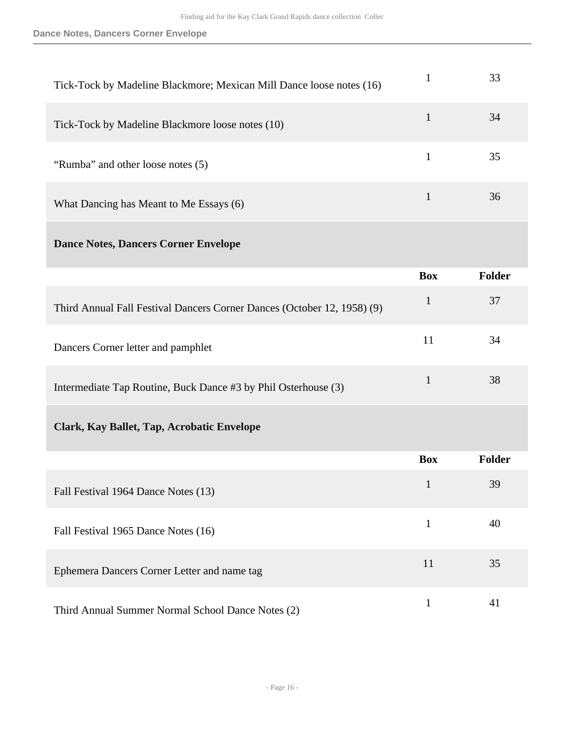| Tick-Tock by Madeline Blackmore; Mexican Mill Dance loose notes (16) | 33 |
|----------------------------------------------------------------------|----|
| Tick-Tock by Madeline Blackmore loose notes (10)                     | 34 |
| "Rumba" and other loose notes (5)                                    | 35 |
| What Dancing has Meant to Me Essays (6)                              | 36 |
|                                                                      |    |

## **Dance Notes, Dancers Corner Envelope**

|                                                                         | <b>Box</b> | Folder |
|-------------------------------------------------------------------------|------------|--------|
| Third Annual Fall Festival Dancers Corner Dances (October 12, 1958) (9) |            | 37     |
| Dancers Corner letter and pamphlet                                      | 11         | 34     |
| Intermediate Tap Routine, Buck Dance #3 by Phil Osterhouse (3)          |            | 38     |

# **Clark, Kay Ballet, Tap, Acrobatic Envelope**

|                                                   | <b>Box</b> | <b>Folder</b> |
|---------------------------------------------------|------------|---------------|
| Fall Festival 1964 Dance Notes (13)               | 1          | 39            |
| Fall Festival 1965 Dance Notes (16)               |            | 40            |
| Ephemera Dancers Corner Letter and name tag       | 11         | 35            |
| Third Annual Summer Normal School Dance Notes (2) |            | 41            |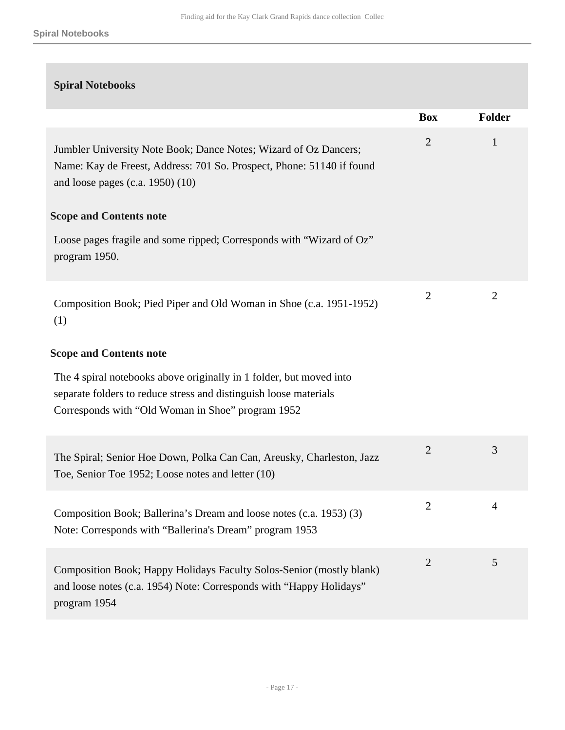| <b>Spiral Notebooks</b>                                                                                                                                                                       |                |        |
|-----------------------------------------------------------------------------------------------------------------------------------------------------------------------------------------------|----------------|--------|
|                                                                                                                                                                                               | <b>Box</b>     | Folder |
| Jumbler University Note Book; Dance Notes; Wizard of Oz Dancers;<br>Name: Kay de Freest, Address: 701 So. Prospect, Phone: 51140 if found<br>and loose pages $(c.a. 1950)$ $(10)$             | $\overline{2}$ | 1      |
| <b>Scope and Contents note</b>                                                                                                                                                                |                |        |
| Loose pages fragile and some ripped; Corresponds with "Wizard of Oz"<br>program 1950.                                                                                                         |                |        |
| Composition Book; Pied Piper and Old Woman in Shoe (c.a. 1951-1952)<br>(1)                                                                                                                    | $\overline{2}$ | 2      |
| <b>Scope and Contents note</b>                                                                                                                                                                |                |        |
| The 4 spiral notebooks above originally in 1 folder, but moved into<br>separate folders to reduce stress and distinguish loose materials<br>Corresponds with "Old Woman in Shoe" program 1952 |                |        |
| The Spiral; Senior Hoe Down, Polka Can Can, Areusky, Charleston, Jazz<br>Toe, Senior Toe 1952; Loose notes and letter (10)                                                                    | $\overline{2}$ | 3      |
| Composition Book; Ballerina's Dream and loose notes (c.a. 1953) (3)<br>Note: Corresponds with "Ballerina's Dream" program 1953                                                                | $\overline{2}$ | 4      |
| Composition Book; Happy Holidays Faculty Solos-Senior (mostly blank)<br>and loose notes (c.a. 1954) Note: Corresponds with "Happy Holidays"<br>program 1954                                   | $\overline{2}$ | 5      |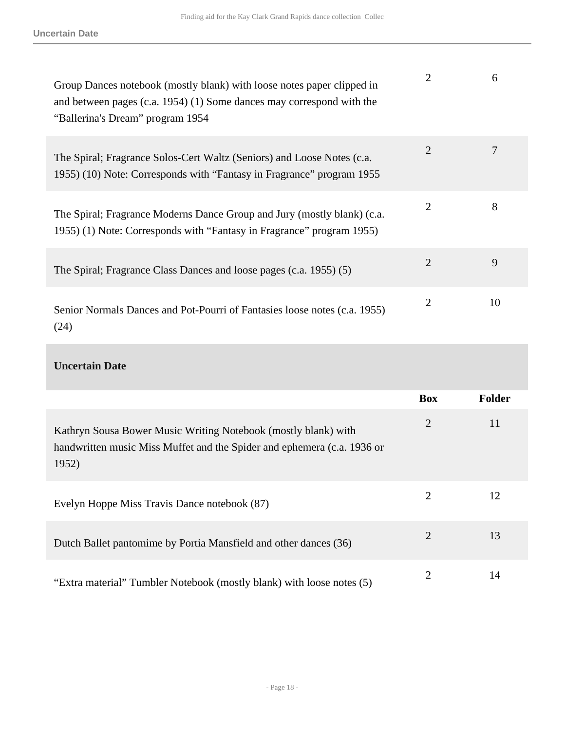| Group Dances notebook (mostly blank) with loose notes paper clipped in<br>and between pages (c.a. 1954) (1) Some dances may correspond with the<br>"Ballerina's Dream" program 1954 | 2              | 6  |
|-------------------------------------------------------------------------------------------------------------------------------------------------------------------------------------|----------------|----|
| The Spiral; Fragrance Solos-Cert Waltz (Seniors) and Loose Notes (c.a.<br>1955) (10) Note: Corresponds with "Fantasy in Fragrance" program 1955                                     | $\overline{2}$ | 7  |
| The Spiral; Fragrance Moderns Dance Group and Jury (mostly blank) (c.a.<br>1955) (1) Note: Corresponds with "Fantasy in Fragrance" program 1955)                                    | 2              | 8  |
| The Spiral; Fragrance Class Dances and loose pages (c.a. 1955) (5)                                                                                                                  | $\overline{2}$ | 9  |
| Senior Normals Dances and Pot-Pourri of Fantasies loose notes (c.a. 1955)<br>(24)                                                                                                   | $\overline{2}$ | 10 |

## **Uncertain Date**

|                                                                                                                                                    | <b>Box</b>     | <b>Folder</b> |
|----------------------------------------------------------------------------------------------------------------------------------------------------|----------------|---------------|
| Kathryn Sousa Bower Music Writing Notebook (mostly blank) with<br>handwritten music Miss Muffet and the Spider and ephemera (c.a. 1936 or<br>1952) | $\overline{2}$ | 11            |
| Evelyn Hoppe Miss Travis Dance notebook (87)                                                                                                       | 2              | 12            |
| Dutch Ballet pantomime by Portia Mansfield and other dances (36)                                                                                   | 2              | 13            |
| "Extra material" Tumbler Notebook (mostly blank) with loose notes (5)                                                                              | 2              | 14            |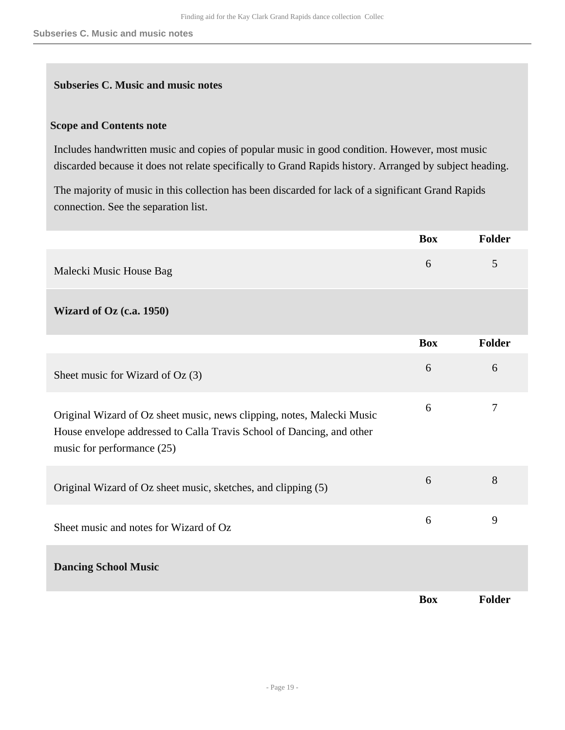#### **Subseries C. Music and music notes**

#### **Scope and Contents note**

Includes handwritten music and copies of popular music in good condition. However, most music discarded because it does not relate specifically to Grand Rapids history. Arranged by subject heading.

The majority of music in this collection has been discarded for lack of a significant Grand Rapids connection. See the separation list.

|                                                                                                                                                                               | <b>Box</b> | <b>Folder</b>  |
|-------------------------------------------------------------------------------------------------------------------------------------------------------------------------------|------------|----------------|
| Malecki Music House Bag                                                                                                                                                       | 6          | 5              |
| <b>Wizard of Oz (c.a. 1950)</b>                                                                                                                                               |            |                |
|                                                                                                                                                                               | <b>Box</b> | Folder         |
| Sheet music for Wizard of Oz (3)                                                                                                                                              | 6          | 6              |
| Original Wizard of Oz sheet music, news clipping, notes, Malecki Music<br>House envelope addressed to Calla Travis School of Dancing, and other<br>music for performance (25) | 6          | $\overline{7}$ |
| Original Wizard of Oz sheet music, sketches, and clipping (5)                                                                                                                 | 6          | 8              |
| Sheet music and notes for Wizard of Oz                                                                                                                                        | 6          | 9              |
| <b>Dancing School Music</b>                                                                                                                                                   |            |                |
|                                                                                                                                                                               | <b>Box</b> | <b>Folder</b>  |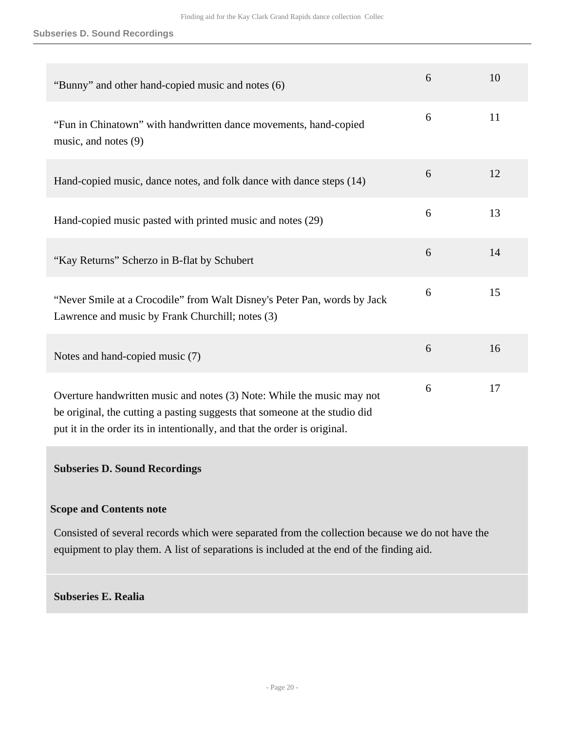#### **Subseries D. Sound Recordings**

| "Bunny" and other hand-copied music and notes (6)                                                                                                                                                                                 | 6 | 10 |
|-----------------------------------------------------------------------------------------------------------------------------------------------------------------------------------------------------------------------------------|---|----|
| "Fun in Chinatown" with handwritten dance movements, hand-copied<br>music, and notes $(9)$                                                                                                                                        | 6 | 11 |
| Hand-copied music, dance notes, and folk dance with dance steps (14)                                                                                                                                                              | 6 | 12 |
| Hand-copied music pasted with printed music and notes (29)                                                                                                                                                                        | 6 | 13 |
| "Kay Returns" Scherzo in B-flat by Schubert                                                                                                                                                                                       | 6 | 14 |
| "Never Smile at a Crocodile" from Walt Disney's Peter Pan, words by Jack<br>Lawrence and music by Frank Churchill; notes (3)                                                                                                      | 6 | 15 |
| Notes and hand-copied music (7)                                                                                                                                                                                                   | 6 | 16 |
| Overture handwritten music and notes (3) Note: While the music may not<br>be original, the cutting a pasting suggests that someone at the studio did<br>put it in the order its in intentionally, and that the order is original. | 6 | 17 |

## **Subseries D. Sound Recordings**

#### **Scope and Contents note**

Consisted of several records which were separated from the collection because we do not have the equipment to play them. A list of separations is included at the end of the finding aid.

#### **Subseries E. Realia**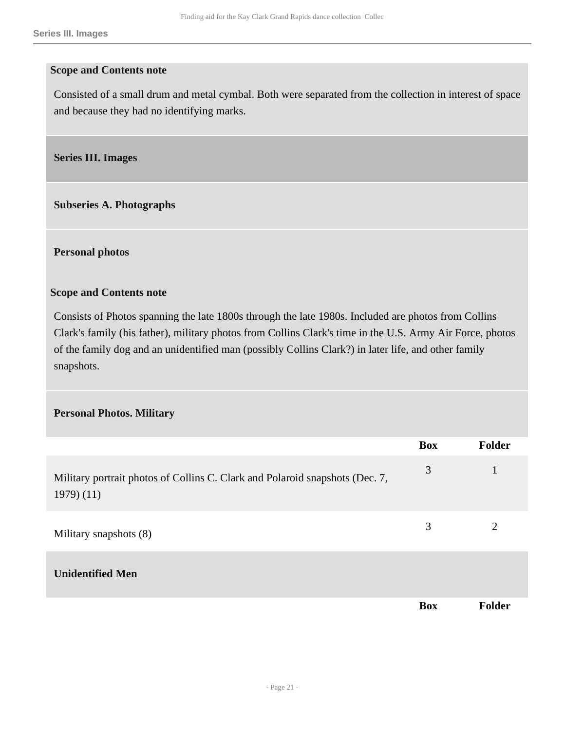#### **Scope and Contents note**

Consisted of a small drum and metal cymbal. Both were separated from the collection in interest of space and because they had no identifying marks.

<span id="page-20-0"></span>**Series III. Images** 

**Subseries A. Photographs** 

**Personal photos** 

#### **Scope and Contents note**

Consists of Photos spanning the late 1800s through the late 1980s. Included are photos from Collins Clark's family (his father), military photos from Collins Clark's time in the U.S. Army Air Force, photos of the family dog and an unidentified man (possibly Collins Clark?) in later life, and other family snapshots.

#### **Personal Photos. Military**

|                                                                                            | <b>Box</b> | Folder       |
|--------------------------------------------------------------------------------------------|------------|--------------|
| Military portrait photos of Collins C. Clark and Polaroid snapshots (Dec. 7,<br>(1979)(11) | 3          | $\mathbf{1}$ |
| Military snapshots (8)                                                                     | 3          | 2            |
| <b>Unidentified Men</b>                                                                    |            |              |
|                                                                                            | <b>Box</b> | Folder       |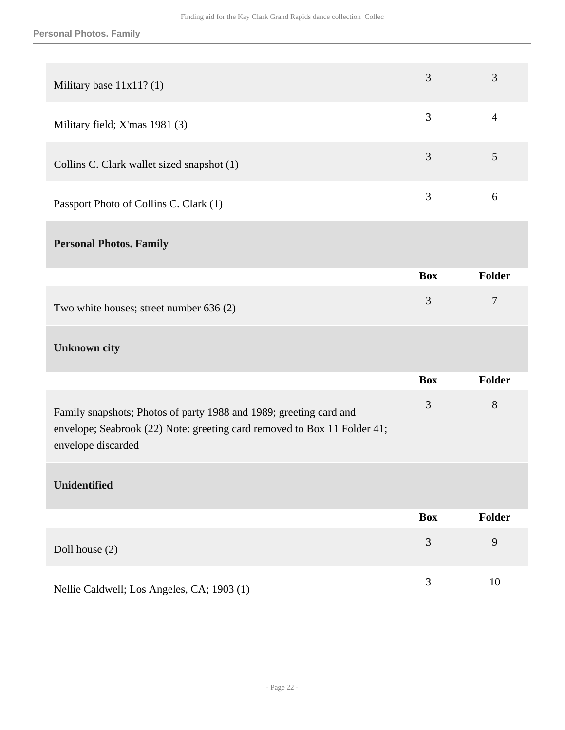| Military base $11x11?$ (1)                                        | 3          | 3              |
|-------------------------------------------------------------------|------------|----------------|
| Military field; X'mas 1981 (3)                                    | 3          | $\overline{4}$ |
| Collins C. Clark wallet sized snapshot (1)                        | 3          | 5              |
| Passport Photo of Collins C. Clark (1)                            | 3          | 6              |
| <b>Personal Photos. Family</b>                                    |            |                |
|                                                                   | <b>Box</b> | Folder         |
| Two white houses; street number 636 (2)                           | 3          | $\tau$         |
| <b>Unknown city</b>                                               |            |                |
|                                                                   | <b>Box</b> | <b>Folder</b>  |
| $1 + \mathbf{D}$ $1 + \mathbf{C}$ $1000 - 11000$ $1 + \mathbf{D}$ | 3          | 8              |

| Family snapshots; Photos of party 1988 and 1989; greeting card and       |  |
|--------------------------------------------------------------------------|--|
| envelope; Seabrook (22) Note: greeting card removed to Box 11 Folder 41; |  |
| envelope discarded                                                       |  |

# **Unidentified**

|                                            | <b>Box</b> | <b>Folder</b> |
|--------------------------------------------|------------|---------------|
| Doll house $(2)$                           |            | 9             |
| Nellie Caldwell; Los Angeles, CA; 1903 (1) |            | 10            |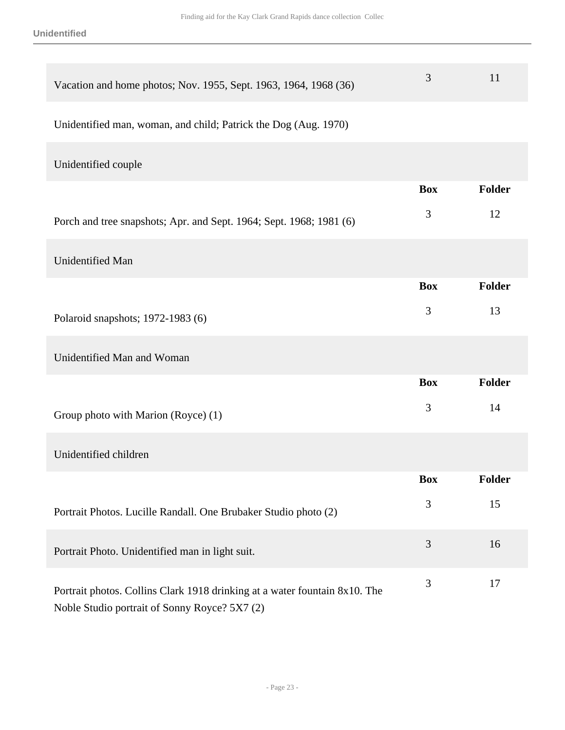| Vacation and home photos; Nov. 1955, Sept. 1963, 1964, 1968 (36)                                                            | 3              | 11            |
|-----------------------------------------------------------------------------------------------------------------------------|----------------|---------------|
| Unidentified man, woman, and child; Patrick the Dog (Aug. 1970)                                                             |                |               |
| Unidentified couple                                                                                                         |                |               |
|                                                                                                                             | <b>Box</b>     | <b>Folder</b> |
| Porch and tree snapshots; Apr. and Sept. 1964; Sept. 1968; 1981 (6)                                                         | 3              | 12            |
| Unidentified Man                                                                                                            |                |               |
|                                                                                                                             | <b>Box</b>     | <b>Folder</b> |
| Polaroid snapshots; 1972-1983 (6)                                                                                           | 3              | 13            |
| Unidentified Man and Woman                                                                                                  |                |               |
|                                                                                                                             | <b>Box</b>     | <b>Folder</b> |
| Group photo with Marion (Royce) (1)                                                                                         | 3              | 14            |
| Unidentified children                                                                                                       |                |               |
|                                                                                                                             | <b>Box</b>     | Folder        |
| Portrait Photos. Lucille Randall. One Brubaker Studio photo (2)                                                             | $\mathfrak{Z}$ | 15            |
| Portrait Photo. Unidentified man in light suit.                                                                             | $\mathfrak{Z}$ | 16            |
| Portrait photos. Collins Clark 1918 drinking at a water fountain 8x10. The<br>Noble Studio portrait of Sonny Royce? 5X7 (2) | $\mathfrak{Z}$ | 17            |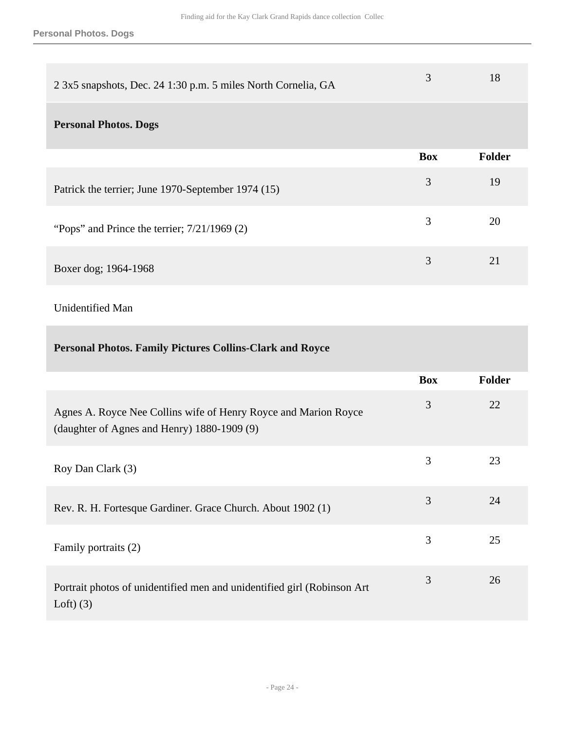**Personal Photos. Dogs**

| 2 3x5 snapshots, Dec. 24 1:30 p.m. 5 miles North Cornelia, GA | 3          | 18     |
|---------------------------------------------------------------|------------|--------|
| <b>Personal Photos. Dogs</b>                                  |            |        |
|                                                               | <b>Box</b> | Folder |
| Patrick the terrier; June 1970-September 1974 (15)            | 3          | 19     |
| "Pops" and Prince the terrier; $7/21/1969$ (2)                | 3          | 20     |
| Boxer dog; 1964-1968                                          | 3          | 21     |

# Unidentified Man

| <b>Personal Photos. Family Pictures Collins-Clark and Royce</b>                                                |            |               |
|----------------------------------------------------------------------------------------------------------------|------------|---------------|
|                                                                                                                | <b>Box</b> | <b>Folder</b> |
| Agnes A. Royce Nee Collins wife of Henry Royce and Marion Royce<br>(daughter of Agnes and Henry) 1880-1909 (9) | 3          | 22            |
| Roy Dan Clark (3)                                                                                              | 3          | 23            |
| Rev. R. H. Fortesque Gardiner. Grace Church. About 1902 (1)                                                    | 3          | 24            |
| Family portraits (2)                                                                                           | 3          | 25            |
| Portrait photos of unidentified men and unidentified girl (Robinson Art<br>Loft $(3)$                          | 3          | 26            |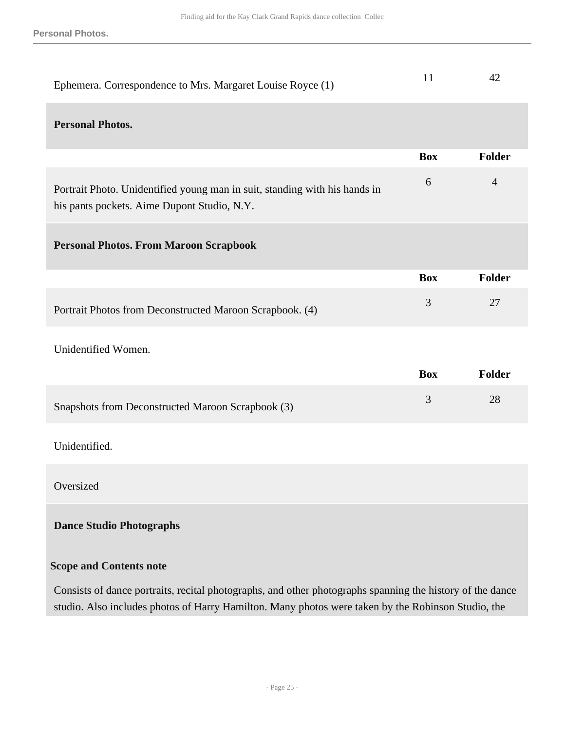**Personal Photos.**

| Ephemera. Correspondence to Mrs. Margaret Louise Royce (1)                                                                | 11         | 42             |
|---------------------------------------------------------------------------------------------------------------------------|------------|----------------|
| <b>Personal Photos.</b>                                                                                                   |            |                |
|                                                                                                                           | <b>Box</b> | <b>Folder</b>  |
| Portrait Photo. Unidentified young man in suit, standing with his hands in<br>his pants pockets. Aime Dupont Studio, N.Y. | 6          | $\overline{4}$ |
| <b>Personal Photos. From Maroon Scrapbook</b>                                                                             |            |                |
|                                                                                                                           | <b>Box</b> | <b>Folder</b>  |
| Portrait Photos from Deconstructed Maroon Scrapbook. (4)                                                                  | 3          | 27             |
| Unidentified Women.                                                                                                       |            |                |
|                                                                                                                           | <b>Box</b> | <b>Folder</b>  |
| Snapshots from Deconstructed Maroon Scrapbook (3)                                                                         | 3          | 28             |
| Unidentified.                                                                                                             |            |                |
| Oversized                                                                                                                 |            |                |
| <b>Dance Studio Photographs</b>                                                                                           |            |                |
| <b>Scope and Contents note</b>                                                                                            |            |                |
| Consists of dance portraits, recital photographs, and other photographs spanning the history of the dance                 |            |                |

studio. Also includes photos of Harry Hamilton. Many photos were taken by the Robinson Studio, the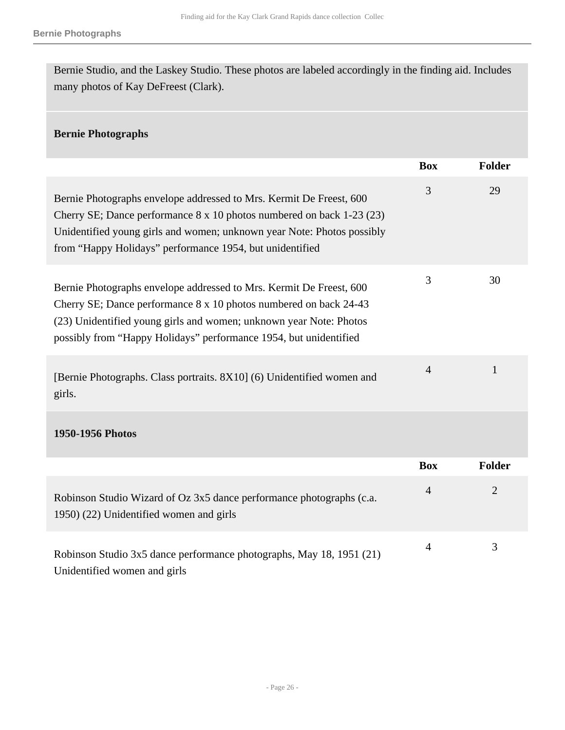Bernie Studio, and the Laskey Studio. These photos are labeled accordingly in the finding aid. Includes many photos of Kay DeFreest (Clark).

## **Bernie Photographs**

|                                                                                                                                                                                                                                                                                     | <b>Box</b>     | Folder         |
|-------------------------------------------------------------------------------------------------------------------------------------------------------------------------------------------------------------------------------------------------------------------------------------|----------------|----------------|
| Bernie Photographs envelope addressed to Mrs. Kermit De Freest, 600<br>Cherry SE; Dance performance 8 x 10 photos numbered on back 1-23 (23)<br>Unidentified young girls and women; unknown year Note: Photos possibly<br>from "Happy Holidays" performance 1954, but unidentified  | 3              | 29             |
| Bernie Photographs envelope addressed to Mrs. Kermit De Freest, 600<br>Cherry SE; Dance performance 8 x 10 photos numbered on back 24-43<br>(23) Unidentified young girls and women; unknown year Note: Photos<br>possibly from "Happy Holidays" performance 1954, but unidentified | 3              | 30             |
| [Bernie Photographs. Class portraits. 8X10] (6) Unidentified women and<br>girls.                                                                                                                                                                                                    | $\overline{4}$ | $\mathbf{1}$   |
| 1950-1956 Photos                                                                                                                                                                                                                                                                    |                |                |
|                                                                                                                                                                                                                                                                                     | <b>Box</b>     | <b>Folder</b>  |
| Robinson Studio Wizard of Oz 3x5 dance performance photographs (c.a.<br>1950) (22) Unidentified women and girls                                                                                                                                                                     | $\overline{4}$ | $\overline{2}$ |
| Robinson Studio 3x5 dance performance photographs, May 18, 1951 (21)<br>Unidentified women and girls                                                                                                                                                                                | $\overline{4}$ | 3              |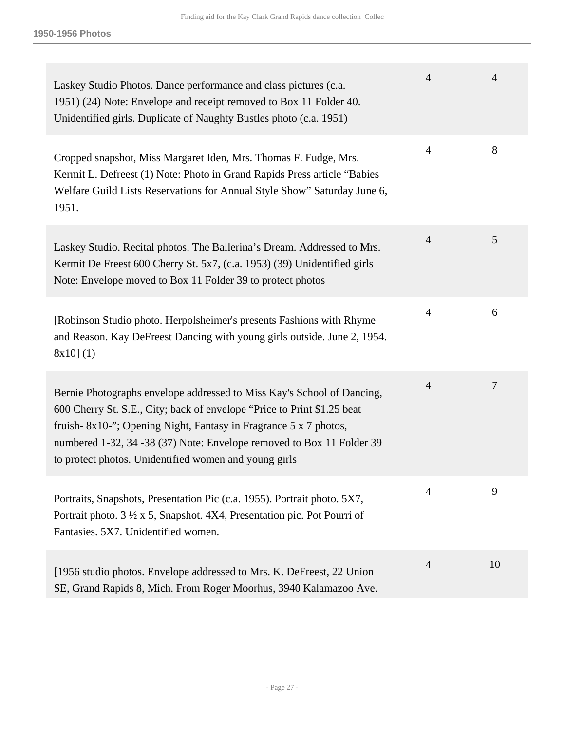| Laskey Studio Photos. Dance performance and class pictures (c.a.<br>1951) (24) Note: Envelope and receipt removed to Box 11 Folder 40.<br>Unidentified girls. Duplicate of Naughty Bustles photo (c.a. 1951)                                                                                                                                            | $\overline{4}$ | $\overline{4}$ |
|---------------------------------------------------------------------------------------------------------------------------------------------------------------------------------------------------------------------------------------------------------------------------------------------------------------------------------------------------------|----------------|----------------|
| Cropped snapshot, Miss Margaret Iden, Mrs. Thomas F. Fudge, Mrs.<br>Kermit L. Defreest (1) Note: Photo in Grand Rapids Press article "Babies<br>Welfare Guild Lists Reservations for Annual Style Show" Saturday June 6,<br>1951.                                                                                                                       | $\overline{4}$ | 8              |
| Laskey Studio. Recital photos. The Ballerina's Dream. Addressed to Mrs.<br>Kermit De Freest 600 Cherry St. 5x7, (c.a. 1953) (39) Unidentified girls<br>Note: Envelope moved to Box 11 Folder 39 to protect photos                                                                                                                                       | $\overline{4}$ | 5              |
| [Robinson Studio photo. Herpolsheimer's presents Fashions with Rhyme<br>and Reason. Kay DeFreest Dancing with young girls outside. June 2, 1954.<br>8x10(1)                                                                                                                                                                                             | $\overline{4}$ | 6              |
| Bernie Photographs envelope addressed to Miss Kay's School of Dancing,<br>600 Cherry St. S.E., City; back of envelope "Price to Print \$1.25 beat<br>fruish-8x10-"; Opening Night, Fantasy in Fragrance 5 x 7 photos,<br>numbered 1-32, 34 -38 (37) Note: Envelope removed to Box 11 Folder 39<br>to protect photos. Unidentified women and young girls | $\overline{4}$ | 7              |
| Portraits, Snapshots, Presentation Pic (c.a. 1955). Portrait photo. 5X7,<br>Portrait photo. $3\frac{1}{2} \times 5$ , Snapshot. 4X4, Presentation pic. Pot Pourri of<br>Fantasies. 5X7. Unidentified women.                                                                                                                                             | 4              | 9              |
| [1956 studio photos. Envelope addressed to Mrs. K. DeFreest, 22 Union<br>SE, Grand Rapids 8, Mich. From Roger Moorhus, 3940 Kalamazoo Ave.                                                                                                                                                                                                              | $\overline{4}$ | 10             |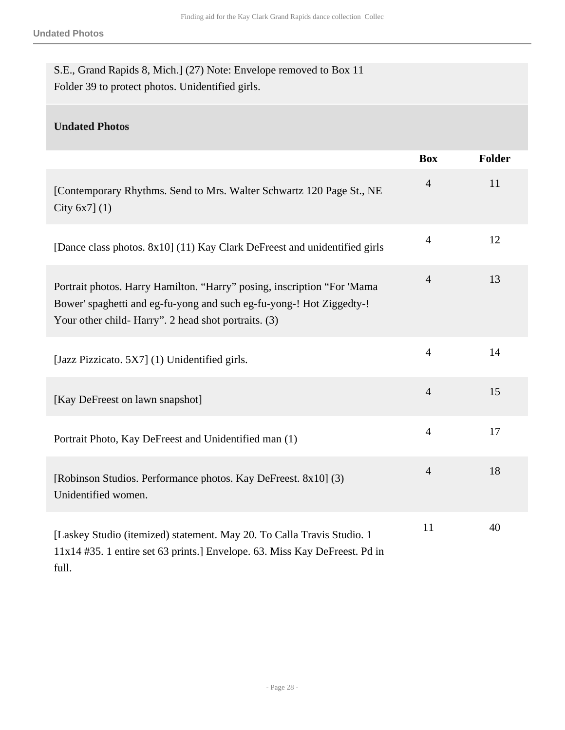| S.E., Grand Rapids 8, Mich.] (27) Note: Envelope removed to Box 11 |  |
|--------------------------------------------------------------------|--|
| Folder 39 to protect photos. Unidentified girls.                   |  |

# **Undated Photos**

|                                                                                                                                                                                                         | <b>Box</b>     | <b>Folder</b> |
|---------------------------------------------------------------------------------------------------------------------------------------------------------------------------------------------------------|----------------|---------------|
| [Contemporary Rhythms. Send to Mrs. Walter Schwartz 120 Page St., NE<br>City $6x7$ ] (1)                                                                                                                | $\overline{4}$ | 11            |
| [Dance class photos. 8x10] (11) Kay Clark DeFreest and unidentified girls                                                                                                                               | $\overline{4}$ | 12            |
| Portrait photos. Harry Hamilton. "Harry" posing, inscription "For 'Mama<br>Bower' spaghetti and eg-fu-yong and such eg-fu-yong-! Hot Ziggedty-!<br>Your other child- Harry". 2 head shot portraits. (3) | $\overline{4}$ | 13            |
| [Jazz Pizzicato. 5X7] (1) Unidentified girls.                                                                                                                                                           | $\overline{4}$ | 14            |
| [Kay DeFreest on lawn snapshot]                                                                                                                                                                         | $\overline{4}$ | 15            |
| Portrait Photo, Kay DeFreest and Unidentified man (1)                                                                                                                                                   | $\overline{4}$ | 17            |
| [Robinson Studios. Performance photos. Kay DeFreest. 8x10] (3)<br>Unidentified women.                                                                                                                   | $\overline{4}$ | 18            |
| [Laskey Studio (itemized) statement. May 20. To Calla Travis Studio. 1<br>11x14 #35. 1 entire set 63 prints.] Envelope. 63. Miss Kay DeFreest. Pd in<br>full.                                           | 11             | 40            |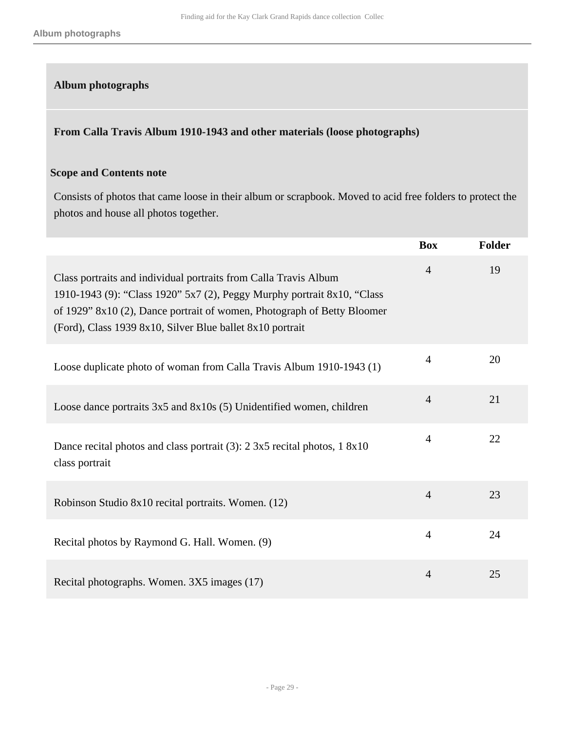## **Album photographs**

#### **From Calla Travis Album 1910-1943 and other materials (loose photographs)**

#### **Scope and Contents note**

Consists of photos that came loose in their album or scrapbook. Moved to acid free folders to protect the photos and house all photos together.

|                                                                                                                                                                                                                                                                                      | <b>Box</b>     | Folder |
|--------------------------------------------------------------------------------------------------------------------------------------------------------------------------------------------------------------------------------------------------------------------------------------|----------------|--------|
| Class portraits and individual portraits from Calla Travis Album<br>1910-1943 (9): "Class 1920" 5x7 (2), Peggy Murphy portrait 8x10, "Class"<br>of 1929" 8x10 (2), Dance portrait of women, Photograph of Betty Bloomer<br>(Ford), Class 1939 8x10, Silver Blue ballet 8x10 portrait | $\overline{4}$ | 19     |
| Loose duplicate photo of woman from Calla Travis Album 1910-1943 (1)                                                                                                                                                                                                                 | $\overline{4}$ | 20     |
| Loose dance portraits 3x5 and 8x10s (5) Unidentified women, children                                                                                                                                                                                                                 | $\overline{4}$ | 21     |
| Dance recital photos and class portrait (3): 2 3x5 recital photos, 1 8x10<br>class portrait                                                                                                                                                                                          | $\overline{4}$ | 22     |
| Robinson Studio 8x10 recital portraits. Women. (12)                                                                                                                                                                                                                                  | $\overline{4}$ | 23     |
| Recital photos by Raymond G. Hall. Women. (9)                                                                                                                                                                                                                                        | $\overline{4}$ | 24     |
| Recital photographs. Women. 3X5 images (17)                                                                                                                                                                                                                                          | $\overline{4}$ | 25     |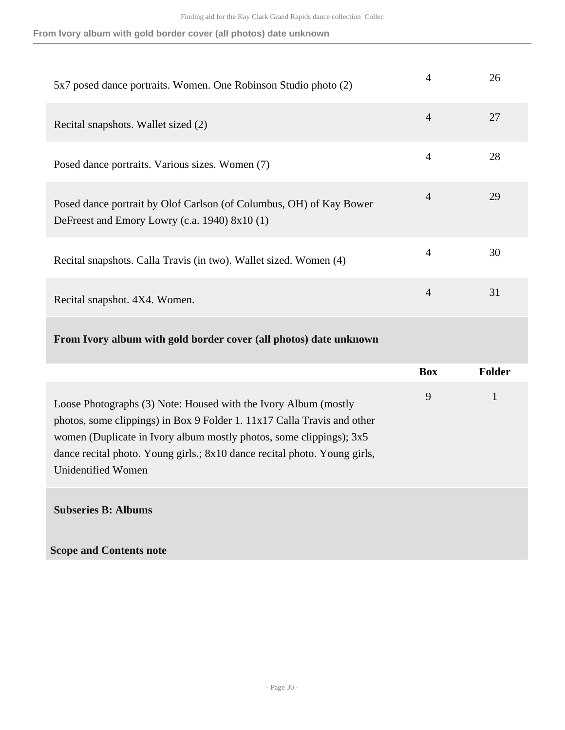**From Ivory album with gold border cover (all photos) date unknown**

| 5x7 posed dance portraits. Women. One Robinson Studio photo (2)                                                      | 4              | 26 |
|----------------------------------------------------------------------------------------------------------------------|----------------|----|
| Recital snapshots. Wallet sized (2)                                                                                  | $\overline{4}$ | 27 |
| Posed dance portraits. Various sizes. Women (7)                                                                      | $\overline{4}$ | 28 |
| Posed dance portrait by Olof Carlson (of Columbus, OH) of Kay Bower<br>DeFreest and Emory Lowry (c.a. 1940) 8x10 (1) | $\overline{4}$ | 29 |
| Recital snapshots. Calla Travis (in two). Wallet sized. Women (4)                                                    | $\overline{4}$ | 30 |
| Recital snapshot. 4X4. Women.                                                                                        | $\overline{4}$ | 31 |

# **From Ivory album with gold border cover (all photos) date unknown**

|                                                                                                                                                                                                                                                                                                                      | <b>Box</b> | <b>Folder</b> |
|----------------------------------------------------------------------------------------------------------------------------------------------------------------------------------------------------------------------------------------------------------------------------------------------------------------------|------------|---------------|
| Loose Photographs (3) Note: Housed with the Ivory Album (mostly<br>photos, some clippings) in Box 9 Folder 1. 11x17 Calla Travis and other<br>women (Duplicate in Ivory album mostly photos, some clippings); 3x5<br>dance recital photo. Young girls.; 8x10 dance recital photo. Young girls,<br>Unidentified Women | 9          | 1             |
| <b>Subseries B: Albums</b>                                                                                                                                                                                                                                                                                           |            |               |
| <b>Scope and Contents note</b>                                                                                                                                                                                                                                                                                       |            |               |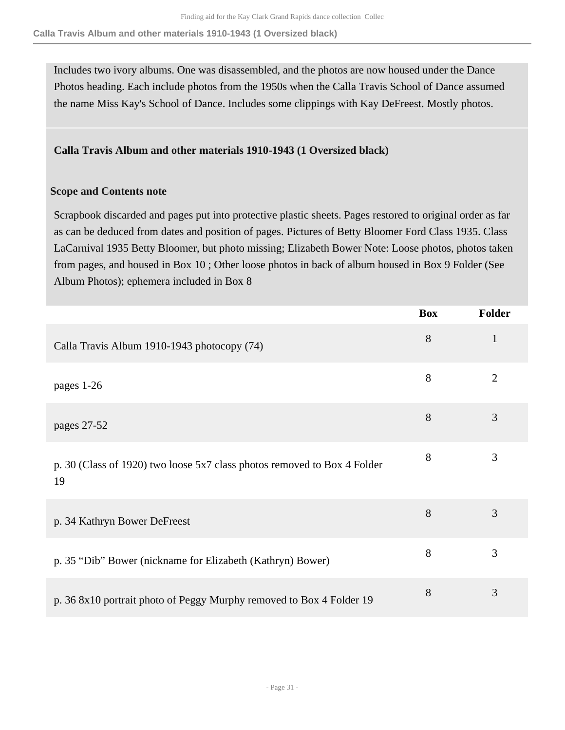**Calla Travis Album and other materials 1910-1943 (1 Oversized black)**

Includes two ivory albums. One was disassembled, and the photos are now housed under the Dance Photos heading. Each include photos from the 1950s when the Calla Travis School of Dance assumed the name Miss Kay's School of Dance. Includes some clippings with Kay DeFreest. Mostly photos.

**Calla Travis Album and other materials 1910-1943 (1 Oversized black)** 

#### **Scope and Contents note**

Scrapbook discarded and pages put into protective plastic sheets. Pages restored to original order as far as can be deduced from dates and position of pages. Pictures of Betty Bloomer Ford Class 1935. Class LaCarnival 1935 Betty Bloomer, but photo missing; Elizabeth Bower Note: Loose photos, photos taken from pages, and housed in Box 10 ; Other loose photos in back of album housed in Box 9 Folder (See Album Photos); ephemera included in Box 8

|                                                                                | <b>Box</b> | Folder         |
|--------------------------------------------------------------------------------|------------|----------------|
| Calla Travis Album 1910-1943 photocopy (74)                                    | 8          | $\mathbf{1}$   |
| pages 1-26                                                                     | 8          | $\overline{2}$ |
| pages 27-52                                                                    | 8          | 3              |
| p. 30 (Class of 1920) two loose 5x7 class photos removed to Box 4 Folder<br>19 | 8          | 3              |
| p. 34 Kathryn Bower DeFreest                                                   | 8          | 3              |
| p. 35 "Dib" Bower (nickname for Elizabeth (Kathryn) Bower)                     | 8          | 3              |
| p. 36 8x10 portrait photo of Peggy Murphy removed to Box 4 Folder 19           | 8          | 3              |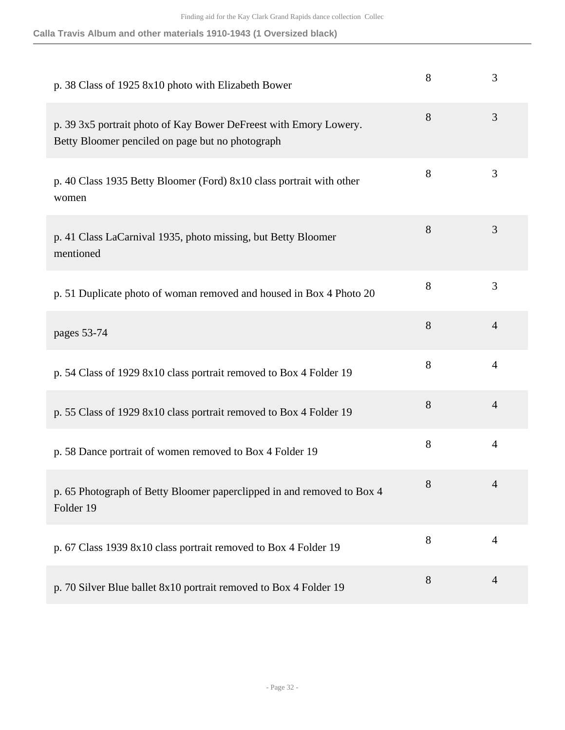| Calla Travis Album and other materials 1910-1943 (1 Oversized black) |  |  |
|----------------------------------------------------------------------|--|--|
|----------------------------------------------------------------------|--|--|

| p. 38 Class of 1925 8x10 photo with Elizabeth Bower                                                                   | 8 | 3              |
|-----------------------------------------------------------------------------------------------------------------------|---|----------------|
| p. 39 3x5 portrait photo of Kay Bower DeFreest with Emory Lowery.<br>Betty Bloomer penciled on page but no photograph | 8 | 3              |
| p. 40 Class 1935 Betty Bloomer (Ford) 8x10 class portrait with other<br>women                                         | 8 | 3              |
| p. 41 Class LaCarnival 1935, photo missing, but Betty Bloomer<br>mentioned                                            | 8 | 3              |
| p. 51 Duplicate photo of woman removed and housed in Box 4 Photo 20                                                   | 8 | 3              |
| pages 53-74                                                                                                           | 8 | $\overline{4}$ |
| p. 54 Class of 1929 8x10 class portrait removed to Box 4 Folder 19                                                    | 8 | $\overline{4}$ |
| p. 55 Class of 1929 8x10 class portrait removed to Box 4 Folder 19                                                    | 8 | $\overline{4}$ |
| p. 58 Dance portrait of women removed to Box 4 Folder 19                                                              | 8 | $\overline{4}$ |
| p. 65 Photograph of Betty Bloomer paperclipped in and removed to Box 4<br>Folder 19                                   | 8 | 4              |
| p. 67 Class 1939 8x10 class portrait removed to Box 4 Folder 19                                                       | 8 | $\overline{4}$ |
| p. 70 Silver Blue ballet 8x10 portrait removed to Box 4 Folder 19                                                     | 8 | $\overline{4}$ |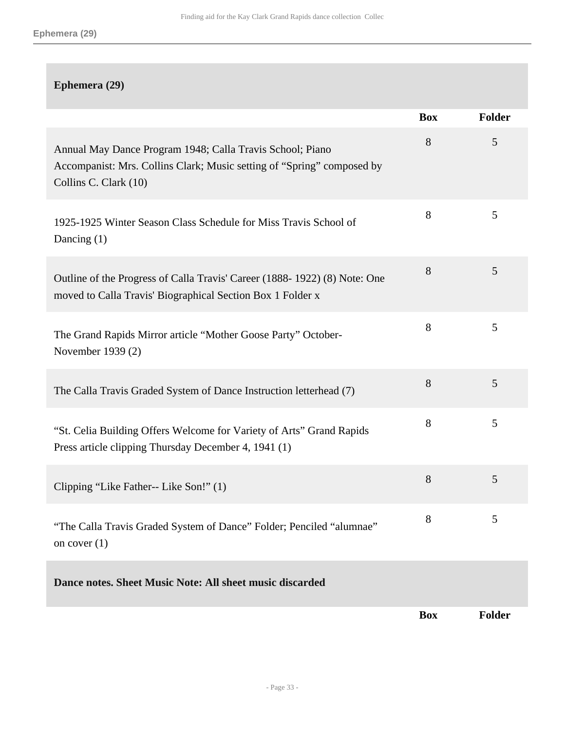# **Ephemera (29)**

|                                                                                                                                                              | <b>Box</b> | <b>Folder</b> |
|--------------------------------------------------------------------------------------------------------------------------------------------------------------|------------|---------------|
| Annual May Dance Program 1948; Calla Travis School; Piano<br>Accompanist: Mrs. Collins Clark; Music setting of "Spring" composed by<br>Collins C. Clark (10) | 8          | 5             |
| 1925-1925 Winter Season Class Schedule for Miss Travis School of<br>Dancing $(1)$                                                                            | 8          | 5             |
| Outline of the Progress of Calla Travis' Career (1888-1922) (8) Note: One<br>moved to Calla Travis' Biographical Section Box 1 Folder x                      | 8          | 5             |
| The Grand Rapids Mirror article "Mother Goose Party" October-<br>November 1939 (2)                                                                           | 8          | 5             |
| The Calla Travis Graded System of Dance Instruction letterhead (7)                                                                                           | 8          | 5             |
| "St. Celia Building Offers Welcome for Variety of Arts" Grand Rapids<br>Press article clipping Thursday December 4, 1941 (1)                                 | 8          | 5             |
| Clipping "Like Father-- Like Son!" (1)                                                                                                                       | 8          | 5             |
| "The Calla Travis Graded System of Dance" Folder; Penciled "alumnae"<br>on cover $(1)$                                                                       | 8          | 5             |
| Dance notes. Sheet Music Note: All sheet music discarded                                                                                                     |            |               |
|                                                                                                                                                              | <b>Box</b> | <b>Folder</b> |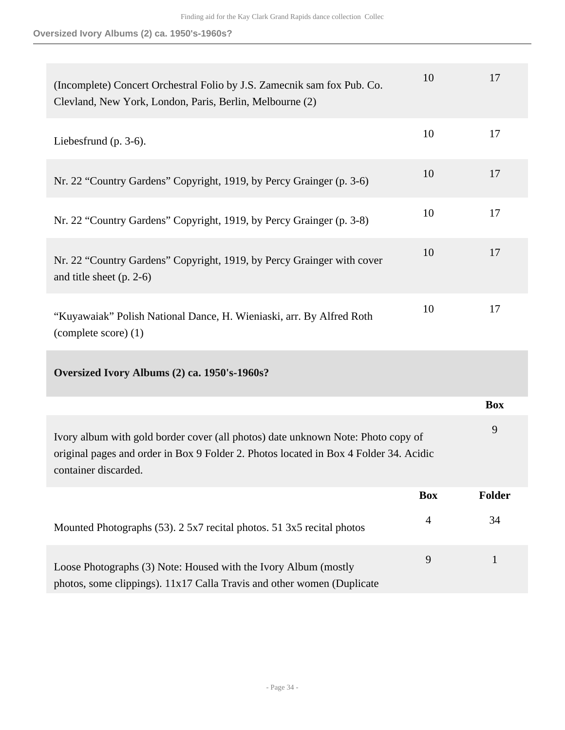**Oversized Ivory Albums (2) ca. 1950's-1960s?**

| (Incomplete) Concert Orchestral Folio by J.S. Zamecnik sam fox Pub. Co.<br>Clevland, New York, London, Paris, Berlin, Melbourne (2)                                                               | 10             | 17            |
|---------------------------------------------------------------------------------------------------------------------------------------------------------------------------------------------------|----------------|---------------|
| Liebesfrund (p. $3-6$ ).                                                                                                                                                                          | 10             | 17            |
| Nr. 22 "Country Gardens" Copyright, 1919, by Percy Grainger (p. 3-6)                                                                                                                              | 10             | 17            |
| Nr. 22 "Country Gardens" Copyright, 1919, by Percy Grainger (p. 3-8)                                                                                                                              | 10             | 17            |
| Nr. 22 "Country Gardens" Copyright, 1919, by Percy Grainger with cover<br>and title sheet $(p. 2-6)$                                                                                              | 10             | 17            |
| "Kuyawaiak" Polish National Dance, H. Wieniaski, arr. By Alfred Roth<br>(complete score) (1)                                                                                                      | 10             | 17            |
| Oversized Ivory Albums (2) ca. 1950's-1960s?                                                                                                                                                      |                |               |
|                                                                                                                                                                                                   |                | <b>Box</b>    |
| Ivory album with gold border cover (all photos) date unknown Note: Photo copy of<br>original pages and order in Box 9 Folder 2. Photos located in Box 4 Folder 34. Acidic<br>container discarded. |                | 9             |
|                                                                                                                                                                                                   | <b>Box</b>     | <b>Folder</b> |
| Mounted Photographs (53). 2 5x7 recital photos. 51 3x5 recital photos                                                                                                                             | $\overline{4}$ | 34            |
| Loose Photographs (3) Note: Housed with the Ivory Album (mostly<br>photos, some clippings). 11x17 Calla Travis and other women (Duplicate                                                         | 9              | $\mathbf{1}$  |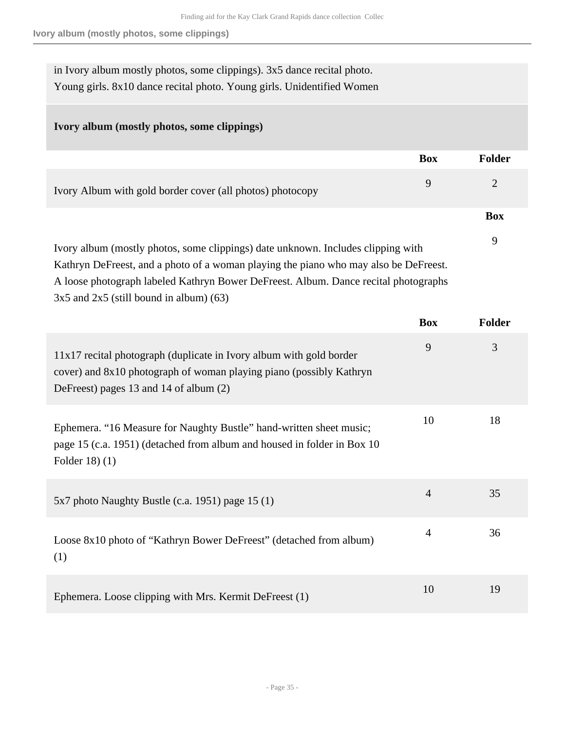in Ivory album mostly photos, some clippings). 3x5 dance recital photo. Young girls. 8x10 dance recital photo. Young girls. Unidentified Women

## **Ivory album (mostly photos, some clippings)**

|                                                                                                                                                                             | <b>Box</b> | Folder     |
|-----------------------------------------------------------------------------------------------------------------------------------------------------------------------------|------------|------------|
| Ivory Album with gold border cover (all photos) photocopy                                                                                                                   | 9          | 2          |
|                                                                                                                                                                             |            | <b>Box</b> |
| Ivory album (mostly photos, some clippings) date unknown. Includes clipping with                                                                                            |            | 9          |
| Kathryn DeFreest, and a photo of a woman playing the piano who may also be DeFreest.<br>A loose photograph labeled Kathryn Bower DeFreest. Album. Dance recital photographs |            |            |

 $3x5$  and  $2x5$  (still bound in album) (63)

|                                                                                                                                                                                      | <b>Box</b>     | <b>Folder</b> |
|--------------------------------------------------------------------------------------------------------------------------------------------------------------------------------------|----------------|---------------|
| 11x17 recital photograph (duplicate in Ivory album with gold border<br>cover) and 8x10 photograph of woman playing piano (possibly Kathryn<br>DeFreest) pages 13 and 14 of album (2) | 9              | 3             |
| Ephemera. "16 Measure for Naughty Bustle" hand-written sheet music;<br>page 15 (c.a. 1951) (detached from album and housed in folder in Box 10<br>Folder $18(1)$                     | 10             | 18            |
| $5x7$ photo Naughty Bustle (c.a. 1951) page 15 (1)                                                                                                                                   | $\overline{4}$ | 35            |
| Loose 8x10 photo of "Kathryn Bower DeFreest" (detached from album)<br>(1)                                                                                                            | $\overline{4}$ | 36            |
| Ephemera. Loose clipping with Mrs. Kermit DeFreest (1)                                                                                                                               | 10             | 19            |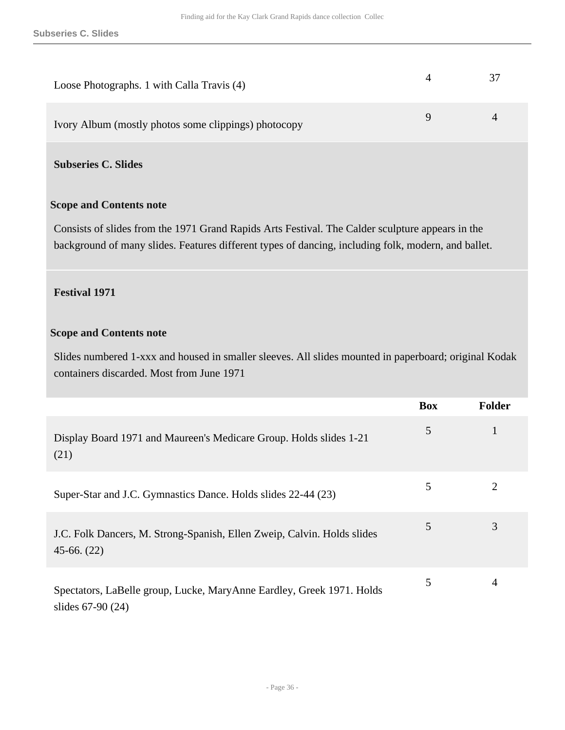| Loose Photographs. 1 with Calla Travis (4)           |  |
|------------------------------------------------------|--|
| Ivory Album (mostly photos some clippings) photocopy |  |

**Subseries C. Slides** 

#### **Scope and Contents note**

Consists of slides from the 1971 Grand Rapids Arts Festival. The Calder sculpture appears in the background of many slides. Features different types of dancing, including folk, modern, and ballet.

#### **Festival 1971**

#### **Scope and Contents note**

Slides numbered 1-xxx and housed in smaller sleeves. All slides mounted in paperboard; original Kodak containers discarded. Most from June 1971

|                                                                                            | <b>Box</b> | <b>Folder</b> |
|--------------------------------------------------------------------------------------------|------------|---------------|
| Display Board 1971 and Maureen's Medicare Group. Holds slides 1-21<br>(21)                 | 5          |               |
| Super-Star and J.C. Gymnastics Dance. Holds slides 22-44 (23)                              | 5          | 2             |
| J.C. Folk Dancers, M. Strong-Spanish, Ellen Zweip, Calvin. Holds slides<br>$45-66. (22)$   | 5          | 3             |
| Spectators, LaBelle group, Lucke, MaryAnne Eardley, Greek 1971. Holds<br>slides 67-90 (24) | 5          | 4             |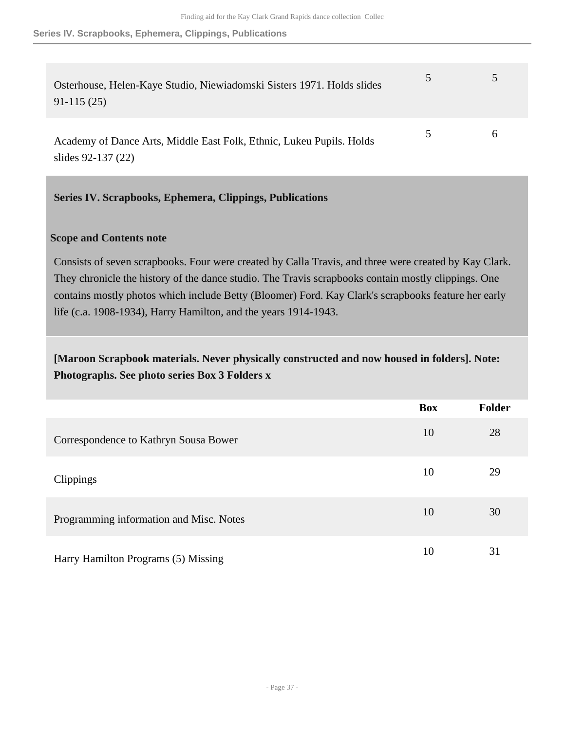| Osterhouse, Helen-Kaye Studio, Niewiadomski Sisters 1971. Holds slides<br>$91-115(25)$     | 5  |   |
|--------------------------------------------------------------------------------------------|----|---|
| Academy of Dance Arts, Middle East Folk, Ethnic, Lukeu Pupils. Holds<br>slides 92-137 (22) | 5. | h |

## <span id="page-36-0"></span>**Series IV. Scrapbooks, Ephemera, Clippings, Publications**

#### **Scope and Contents note**

Consists of seven scrapbooks. Four were created by Calla Travis, and three were created by Kay Clark. They chronicle the history of the dance studio. The Travis scrapbooks contain mostly clippings. One contains mostly photos which include Betty (Bloomer) Ford. Kay Clark's scrapbooks feature her early life (c.a. 1908-1934), Harry Hamilton, and the years 1914-1943.

# **[Maroon Scrapbook materials. Never physically constructed and now housed in folders]. Note: Photographs. See photo series Box 3 Folders x**

|                                         | <b>Box</b> | <b>Folder</b> |
|-----------------------------------------|------------|---------------|
| Correspondence to Kathryn Sousa Bower   | 10         | 28            |
| Clippings                               | 10         | 29            |
| Programming information and Misc. Notes | 10         | 30            |
| Harry Hamilton Programs (5) Missing     | 10         | 31            |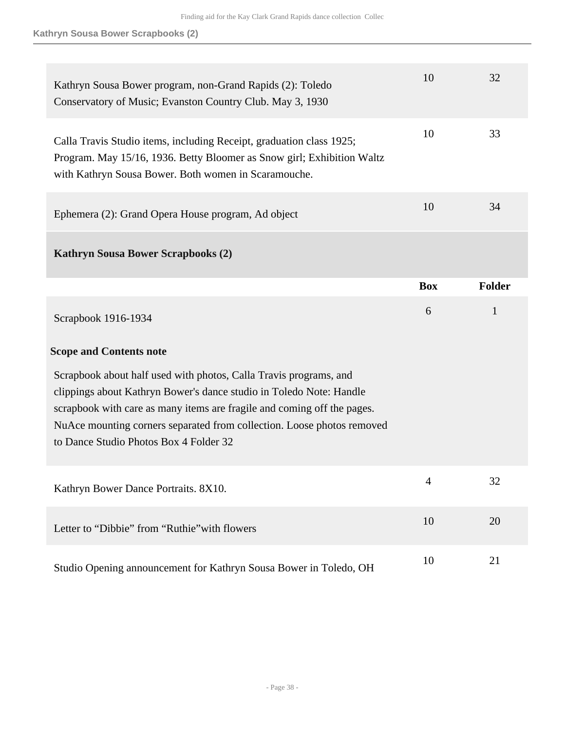| Kathryn Sousa Bower program, non-Grand Rapids (2): Toledo<br>Conservatory of Music; Evanston Country Club. May 3, 1930                                                                                                                                                                                                                  | 10             | 32            |
|-----------------------------------------------------------------------------------------------------------------------------------------------------------------------------------------------------------------------------------------------------------------------------------------------------------------------------------------|----------------|---------------|
| Calla Travis Studio items, including Receipt, graduation class 1925;<br>Program. May 15/16, 1936. Betty Bloomer as Snow girl; Exhibition Waltz<br>with Kathryn Sousa Bower. Both women in Scaramouche.                                                                                                                                  | 10             | 33            |
| Ephemera (2): Grand Opera House program, Ad object                                                                                                                                                                                                                                                                                      | 10             | 34            |
| Kathryn Sousa Bower Scrapbooks (2)                                                                                                                                                                                                                                                                                                      |                |               |
|                                                                                                                                                                                                                                                                                                                                         | <b>Box</b>     | <b>Folder</b> |
| Scrapbook 1916-1934                                                                                                                                                                                                                                                                                                                     | 6              | $\mathbf{1}$  |
|                                                                                                                                                                                                                                                                                                                                         |                |               |
| <b>Scope and Contents note</b>                                                                                                                                                                                                                                                                                                          |                |               |
| Scrapbook about half used with photos, Calla Travis programs, and<br>clippings about Kathryn Bower's dance studio in Toledo Note: Handle<br>scrapbook with care as many items are fragile and coming off the pages.<br>NuAce mounting corners separated from collection. Loose photos removed<br>to Dance Studio Photos Box 4 Folder 32 |                |               |
| Kathryn Bower Dance Portraits. 8X10.                                                                                                                                                                                                                                                                                                    | $\overline{4}$ | 32            |
| Letter to "Dibbie" from "Ruthie" with flowers                                                                                                                                                                                                                                                                                           | 10             | 20            |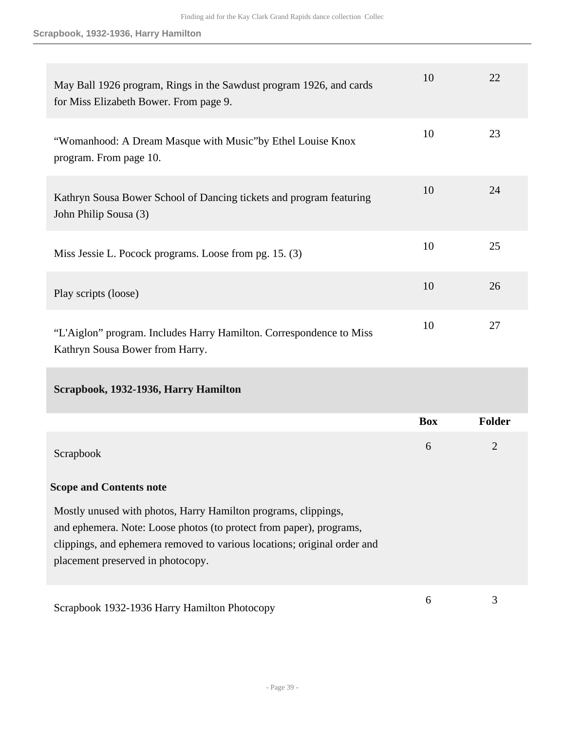| May Ball 1926 program, Rings in the Sawdust program 1926, and cards<br>for Miss Elizabeth Bower. From page 9.                                                                                                                                          | 10         | 22             |
|--------------------------------------------------------------------------------------------------------------------------------------------------------------------------------------------------------------------------------------------------------|------------|----------------|
| "Womanhood: A Dream Masque with Music"by Ethel Louise Knox<br>program. From page 10.                                                                                                                                                                   | 10         | 23             |
| Kathryn Sousa Bower School of Dancing tickets and program featuring<br>John Philip Sousa (3)                                                                                                                                                           | 10         | 24             |
| Miss Jessie L. Pocock programs. Loose from pg. 15. (3)                                                                                                                                                                                                 | 10         | 25             |
| Play scripts (loose)                                                                                                                                                                                                                                   | 10         | 26             |
| "L'Aiglon" program. Includes Harry Hamilton. Correspondence to Miss<br>Kathryn Sousa Bower from Harry.                                                                                                                                                 | 10         | 27             |
| Scrapbook, 1932-1936, Harry Hamilton                                                                                                                                                                                                                   |            |                |
|                                                                                                                                                                                                                                                        | <b>Box</b> | Folder         |
| Scrapbook                                                                                                                                                                                                                                              | 6          | $\overline{2}$ |
| <b>Scope and Contents note</b>                                                                                                                                                                                                                         |            |                |
| Mostly unused with photos, Harry Hamilton programs, clippings,<br>and ephemera. Note: Loose photos (to protect from paper), programs,<br>clippings, and ephemera removed to various locations; original order and<br>placement preserved in photocopy. |            |                |
| Scrapbook 1932-1936 Harry Hamilton Photocopy                                                                                                                                                                                                           | 6          | 3              |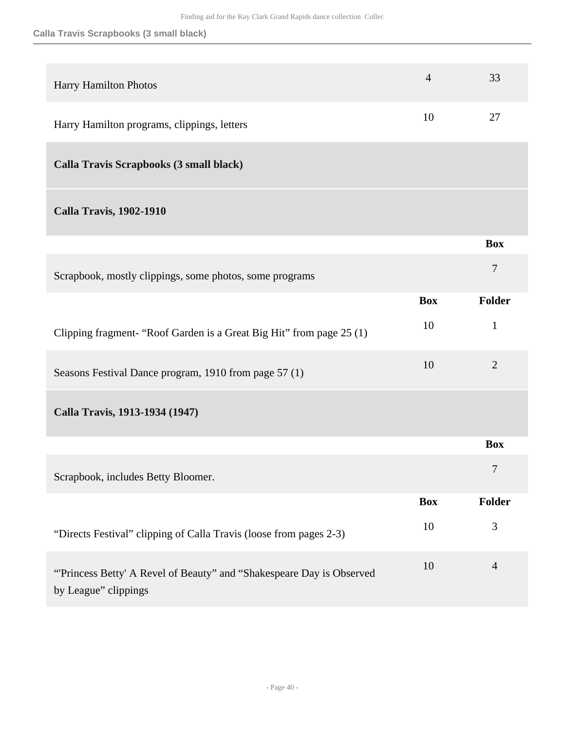## **Calla Travis Scrapbooks (3 small black)**

| Harry Hamilton Photos                                                                        | $\overline{4}$ | 33             |
|----------------------------------------------------------------------------------------------|----------------|----------------|
| Harry Hamilton programs, clippings, letters                                                  | 10             | 27             |
| Calla Travis Scrapbooks (3 small black)                                                      |                |                |
| <b>Calla Travis, 1902-1910</b>                                                               |                |                |
|                                                                                              |                | <b>Box</b>     |
| Scrapbook, mostly clippings, some photos, some programs                                      |                | $\overline{7}$ |
|                                                                                              | <b>Box</b>     | <b>Folder</b>  |
| Clipping fragment- "Roof Garden is a Great Big Hit" from page 25 (1)                         | 10             | $\mathbf{1}$   |
| Seasons Festival Dance program, 1910 from page 57 (1)                                        | 10             | $\overline{2}$ |
| Calla Travis, 1913-1934 (1947)                                                               |                |                |
|                                                                                              |                | <b>Box</b>     |
| Scrapbook, includes Betty Bloomer.                                                           |                | 7              |
|                                                                                              | <b>Box</b>     | Folder         |
| "Directs Festival" clipping of Calla Travis (loose from pages 2-3)                           | 10             | 3              |
| "Princess Betty' A Revel of Beauty" and "Shakespeare Day is Observed<br>by League" clippings | 10             | $\overline{4}$ |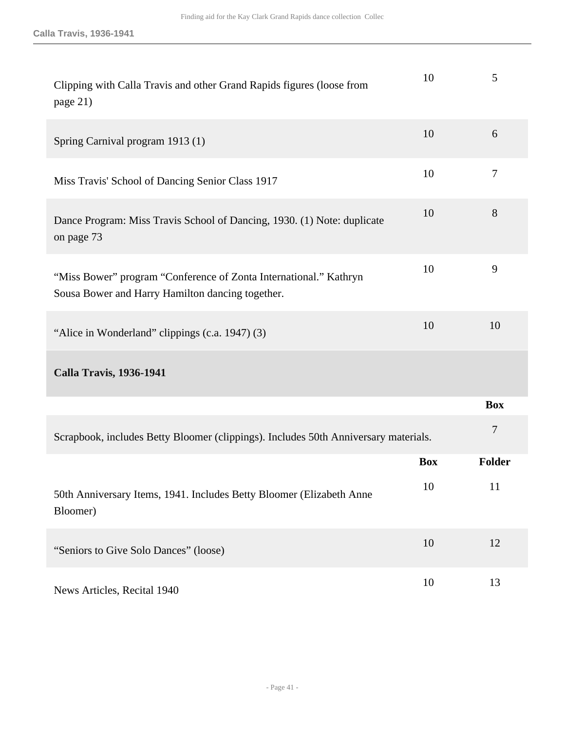| Clipping with Calla Travis and other Grand Rapids figures (loose from<br>page 21)                                     | 10         | 5          |
|-----------------------------------------------------------------------------------------------------------------------|------------|------------|
| Spring Carnival program 1913 (1)                                                                                      | 10         | 6          |
| Miss Travis' School of Dancing Senior Class 1917                                                                      | 10         | 7          |
| Dance Program: Miss Travis School of Dancing, 1930. (1) Note: duplicate<br>on page 73                                 | 10         | 8          |
| "Miss Bower" program "Conference of Zonta International." Kathryn<br>Sousa Bower and Harry Hamilton dancing together. | 10         | 9          |
| "Alice in Wonderland" clippings (c.a. 1947) (3)                                                                       | 10         | 10         |
| <b>Calla Travis, 1936-1941</b>                                                                                        |            |            |
|                                                                                                                       |            | <b>Box</b> |
| Scrapbook, includes Betty Bloomer (clippings). Includes 50th Anniversary materials.                                   |            | 7          |
|                                                                                                                       | <b>Box</b> | Folder     |
| 50th Anniversary Items, 1941. Includes Betty Bloomer (Elizabeth Anne<br>Bloomer)                                      | 10         | 11         |
| "Seniors to Give Solo Dances" (loose)                                                                                 | 10         | 12         |
| News Articles, Recital 1940                                                                                           | 10         | 13         |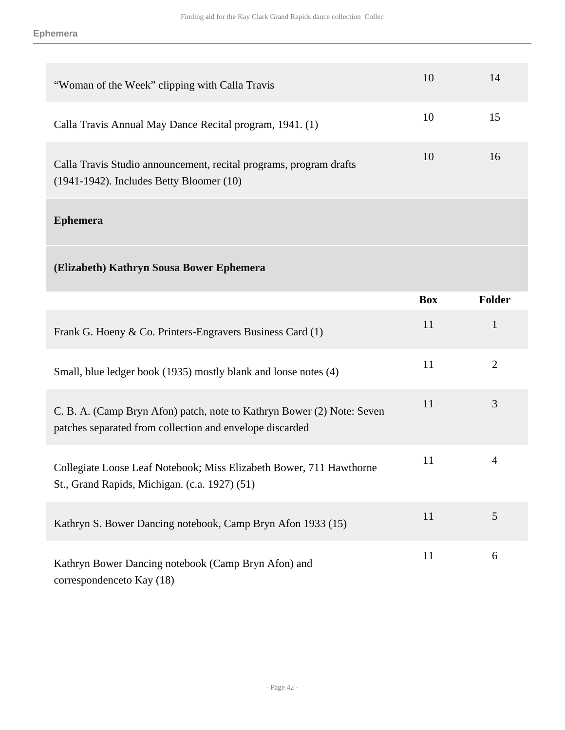| "Woman of the Week" clipping with Calla Travis                                                                      | 10 | 14 |
|---------------------------------------------------------------------------------------------------------------------|----|----|
| Calla Travis Annual May Dance Recital program, 1941. (1)                                                            | 10 | 15 |
| Calla Travis Studio announcement, recital programs, program drafts<br>$(1941-1942)$ . Includes Betty Bloomer $(10)$ | 10 | 16 |
| 18. 1.                                                                                                              |    |    |

#### **Ephemera**

# **(Elizabeth) Kathryn Sousa Bower Ephemera**

|                                                                                                                                    | <b>Box</b> | <b>Folder</b>  |
|------------------------------------------------------------------------------------------------------------------------------------|------------|----------------|
| Frank G. Hoeny & Co. Printers-Engravers Business Card (1)                                                                          | 11         | 1              |
| Small, blue ledger book (1935) mostly blank and loose notes (4)                                                                    | 11         | $\overline{2}$ |
| C. B. A. (Camp Bryn Afon) patch, note to Kathryn Bower (2) Note: Seven<br>patches separated from collection and envelope discarded | 11         | 3              |
| Collegiate Loose Leaf Notebook; Miss Elizabeth Bower, 711 Hawthorne<br>St., Grand Rapids, Michigan. (c.a. 1927) (51)               | 11         | $\overline{4}$ |
| Kathryn S. Bower Dancing notebook, Camp Bryn Afon 1933 (15)                                                                        | 11         | 5              |
| Kathryn Bower Dancing notebook (Camp Bryn Afon) and<br>correspondenceto Kay (18)                                                   | 11         | 6              |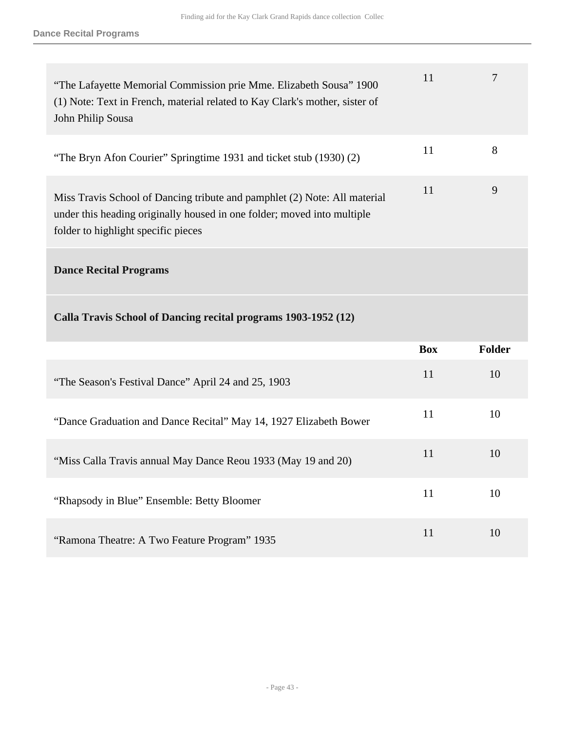| "The Lafayette Memorial Commission prie Mme. Elizabeth Sousa" 1900<br>(1) Note: Text in French, material related to Kay Clark's mother, sister of<br>John Philip Sousa                      | 11 |   |
|---------------------------------------------------------------------------------------------------------------------------------------------------------------------------------------------|----|---|
| "The Bryn Afon Courier" Springtime 1931 and ticket stub (1930) (2)                                                                                                                          | 11 | 8 |
| Miss Travis School of Dancing tribute and pamphlet (2) Note: All material<br>under this heading originally housed in one folder; moved into multiple<br>folder to highlight specific pieces | 11 | 9 |
|                                                                                                                                                                                             |    |   |

# **Dance Recital Programs**

# **Calla Travis School of Dancing recital programs 1903-1952 (12)**

|                                                                   | <b>Box</b> | <b>Folder</b> |
|-------------------------------------------------------------------|------------|---------------|
| "The Season's Festival Dance" April 24 and 25, 1903               | 11         | 10            |
| "Dance Graduation and Dance Recital" May 14, 1927 Elizabeth Bower | 11         | 10            |
| "Miss Calla Travis annual May Dance Reou 1933 (May 19 and 20)     | 11         | 10            |
| "Rhapsody in Blue" Ensemble: Betty Bloomer                        | 11         | 10            |
| "Ramona Theatre: A Two Feature Program" 1935                      | 11         | 10            |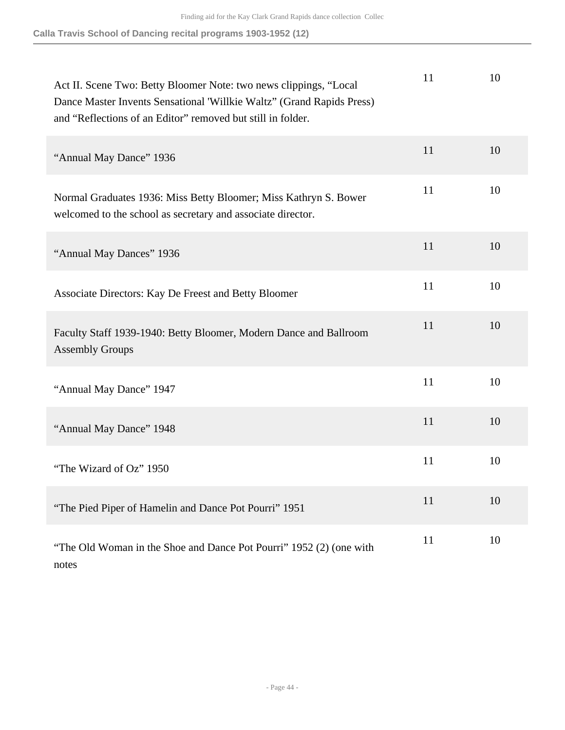**Calla Travis School of Dancing recital programs 1903-1952 (12)**

| Act II. Scene Two: Betty Bloomer Note: two news clippings, "Local<br>Dance Master Invents Sensational 'Willkie Waltz'' (Grand Rapids Press)<br>and "Reflections of an Editor" removed but still in folder. | 11 | 10 |
|------------------------------------------------------------------------------------------------------------------------------------------------------------------------------------------------------------|----|----|
| "Annual May Dance" 1936                                                                                                                                                                                    | 11 | 10 |
| Normal Graduates 1936: Miss Betty Bloomer; Miss Kathryn S. Bower<br>welcomed to the school as secretary and associate director.                                                                            | 11 | 10 |
| "Annual May Dances" 1936                                                                                                                                                                                   | 11 | 10 |
| Associate Directors: Kay De Freest and Betty Bloomer                                                                                                                                                       | 11 | 10 |
| Faculty Staff 1939-1940: Betty Bloomer, Modern Dance and Ballroom<br><b>Assembly Groups</b>                                                                                                                | 11 | 10 |
| "Annual May Dance" 1947                                                                                                                                                                                    | 11 | 10 |
| "Annual May Dance" 1948                                                                                                                                                                                    | 11 | 10 |
| "The Wizard of Oz" 1950                                                                                                                                                                                    | 11 | 10 |
| "The Pied Piper of Hamelin and Dance Pot Pourri" 1951                                                                                                                                                      | 11 | 10 |
| "The Old Woman in the Shoe and Dance Pot Pourri" 1952 (2) (one with<br>notes                                                                                                                               | 11 | 10 |

- Page 44 -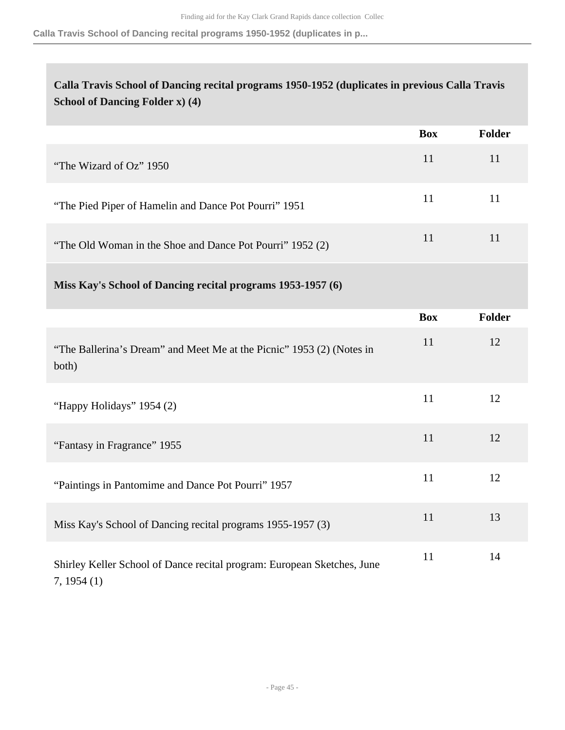**Calla Travis School of Dancing recital programs 1950-1952 (duplicates in p...**

# **Calla Travis School of Dancing recital programs 1950-1952 (duplicates in previous Calla Travis School of Dancing Folder x) (4)**

|                                                           | <b>Box</b> | <b>Folder</b> |
|-----------------------------------------------------------|------------|---------------|
| "The Wizard of Oz" 1950                                   | 11         | 11            |
| "The Pied Piper of Hamelin and Dance Pot Pourri" 1951     | 11         | 11            |
| "The Old Woman in the Shoe and Dance Pot Pourri" 1952 (2) | 11         |               |

|  |  |  | Miss Kay's School of Dancing recital programs 1953-1957 (6) |  |
|--|--|--|-------------------------------------------------------------|--|
|  |  |  |                                                             |  |

|                                                                                       | <b>Box</b> | <b>Folder</b> |
|---------------------------------------------------------------------------------------|------------|---------------|
| "The Ballerina's Dream" and Meet Me at the Picnic" 1953 (2) (Notes in<br>both)        | 11         | 12            |
| "Happy Holidays" 1954 (2)                                                             | 11         | 12            |
| "Fantasy in Fragrance" 1955                                                           | 11         | 12            |
| "Paintings in Pantomime and Dance Pot Pourri" 1957                                    | 11         | 12            |
| Miss Kay's School of Dancing recital programs 1955-1957 (3)                           | 11         | 13            |
| Shirley Keller School of Dance recital program: European Sketches, June<br>7, 1954(1) | 11         | 14            |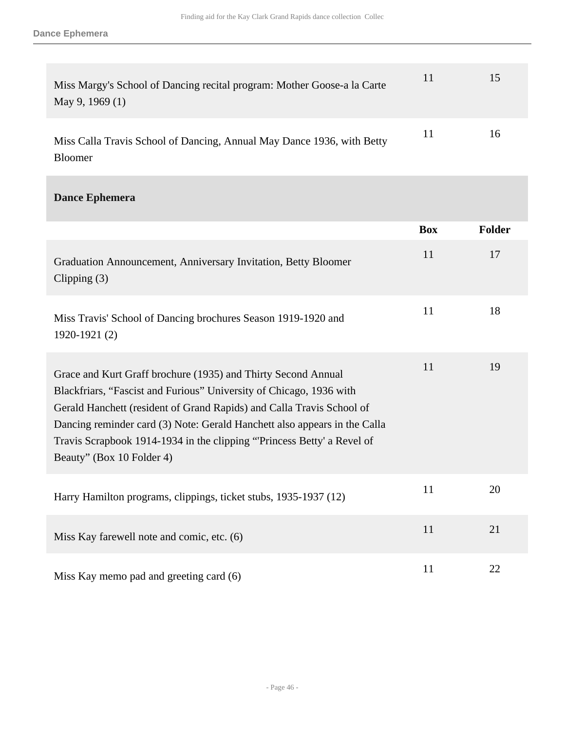Bloomer

| Miss Margy's School of Dancing recital program: Mother Goose-a la Carte<br>May 9, 1969 $(1)$ | $\mathbf{L}$ | 15 |
|----------------------------------------------------------------------------------------------|--------------|----|
| Miss Calla Travis School of Dancing, Annual May Dance 1936, with Betty                       | 11           | 16 |

## **Dance Ephemera**

|                                                                                                                                                                                                                                                                                                                                                                                                   | <b>Box</b> | Folder |
|---------------------------------------------------------------------------------------------------------------------------------------------------------------------------------------------------------------------------------------------------------------------------------------------------------------------------------------------------------------------------------------------------|------------|--------|
| Graduation Announcement, Anniversary Invitation, Betty Bloomer<br>Clipping $(3)$                                                                                                                                                                                                                                                                                                                  | 11         | 17     |
| Miss Travis' School of Dancing brochures Season 1919-1920 and<br>1920-1921 (2)                                                                                                                                                                                                                                                                                                                    | 11         | 18     |
| Grace and Kurt Graff brochure (1935) and Thirty Second Annual<br>Blackfriars, "Fascist and Furious" University of Chicago, 1936 with<br>Gerald Hanchett (resident of Grand Rapids) and Calla Travis School of<br>Dancing reminder card (3) Note: Gerald Hanchett also appears in the Calla<br>Travis Scrapbook 1914-1934 in the clipping "Princess Betty' a Revel of<br>Beauty" (Box 10 Folder 4) | 11         | 19     |
| Harry Hamilton programs, clippings, ticket stubs, 1935-1937 (12)                                                                                                                                                                                                                                                                                                                                  | 11         | 20     |
| Miss Kay farewell note and comic, etc. (6)                                                                                                                                                                                                                                                                                                                                                        | 11         | 21     |
| Miss Kay memo pad and greeting card (6)                                                                                                                                                                                                                                                                                                                                                           | 11         | 22     |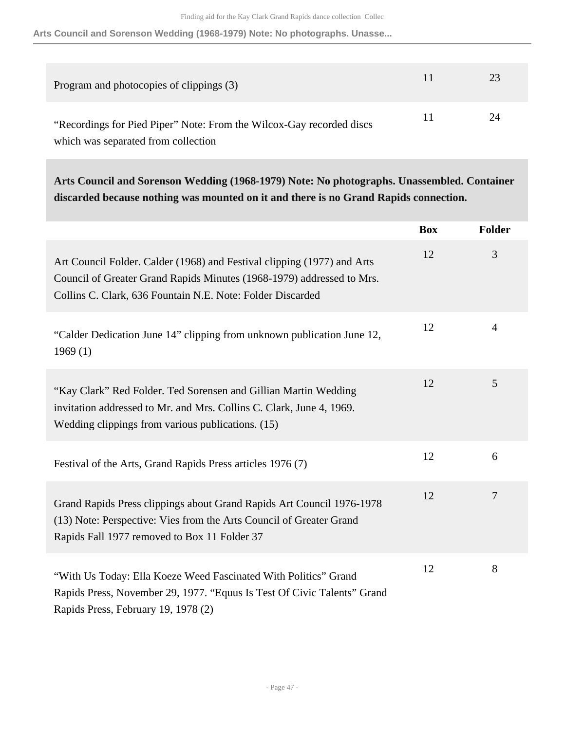**Arts Council and Sorenson Wedding (1968-1979) Note: No photographs. Unasse...**

| Program and photocopies of clippings (3)                             | 23 |
|----------------------------------------------------------------------|----|
| "Recordings for Pied Piper" Note: From the Wilcox-Gay recorded discs | 24 |
| which was separated from collection                                  |    |

**Arts Council and Sorenson Wedding (1968-1979) Note: No photographs. Unassembled. Container discarded because nothing was mounted on it and there is no Grand Rapids connection.** 

|                                                                                                                                                                                                                | <b>Box</b> | Folder |
|----------------------------------------------------------------------------------------------------------------------------------------------------------------------------------------------------------------|------------|--------|
| Art Council Folder. Calder (1968) and Festival clipping (1977) and Arts<br>Council of Greater Grand Rapids Minutes (1968-1979) addressed to Mrs.<br>Collins C. Clark, 636 Fountain N.E. Note: Folder Discarded | 12         | 3      |
| "Calder Dedication June 14" clipping from unknown publication June 12,<br>1969(1)                                                                                                                              | 12         | 4      |
| "Kay Clark" Red Folder. Ted Sorensen and Gillian Martin Wedding<br>invitation addressed to Mr. and Mrs. Collins C. Clark, June 4, 1969.<br>Wedding clippings from various publications. (15)                   | 12         | 5      |
| Festival of the Arts, Grand Rapids Press articles 1976 (7)                                                                                                                                                     | 12         | 6      |
| Grand Rapids Press clippings about Grand Rapids Art Council 1976-1978<br>(13) Note: Perspective: Vies from the Arts Council of Greater Grand<br>Rapids Fall 1977 removed to Box 11 Folder 37                   | 12         | 7      |
| "With Us Today: Ella Koeze Weed Fascinated With Politics" Grand<br>Rapids Press, November 29, 1977. "Equus Is Test Of Civic Talents" Grand<br>Rapids Press, February 19, 1978 (2)                              | 12         | 8      |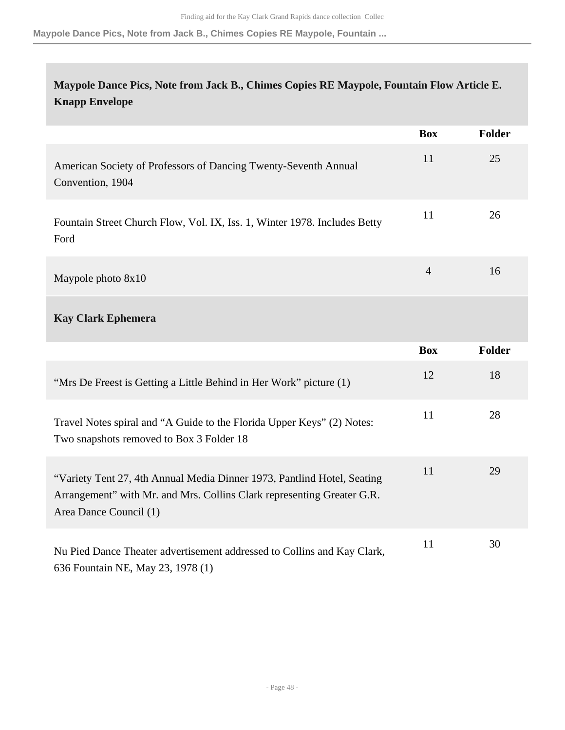**Maypole Dance Pics, Note from Jack B., Chimes Copies RE Maypole, Fountain ...**

# **Maypole Dance Pics, Note from Jack B., Chimes Copies RE Maypole, Fountain Flow Article E. Knapp Envelope**

|                                                                                                                                                                             | <b>Box</b>     | <b>Folder</b> |
|-----------------------------------------------------------------------------------------------------------------------------------------------------------------------------|----------------|---------------|
| American Society of Professors of Dancing Twenty-Seventh Annual<br>Convention, 1904                                                                                         | 11             | 25            |
| Fountain Street Church Flow, Vol. IX, Iss. 1, Winter 1978. Includes Betty<br>Ford                                                                                           | 11             | 26            |
| Maypole photo 8x10                                                                                                                                                          | $\overline{4}$ | 16            |
| <b>Kay Clark Ephemera</b>                                                                                                                                                   |                |               |
|                                                                                                                                                                             | <b>Box</b>     | <b>Folder</b> |
| "Mrs De Freest is Getting a Little Behind in Her Work" picture (1)                                                                                                          | 12             | 18            |
| Travel Notes spiral and "A Guide to the Florida Upper Keys" (2) Notes:<br>Two snapshots removed to Box 3 Folder 18                                                          | 11             | 28            |
| "Variety Tent 27, 4th Annual Media Dinner 1973, Pantlind Hotel, Seating<br>Arrangement" with Mr. and Mrs. Collins Clark representing Greater G.R.<br>Area Dance Council (1) | 11             | 29            |
| Nu Pied Dance Theater advertisement addressed to Collins and Kay Clark,<br>636 Fountain NE, May 23, 1978 (1)                                                                | 11             | 30            |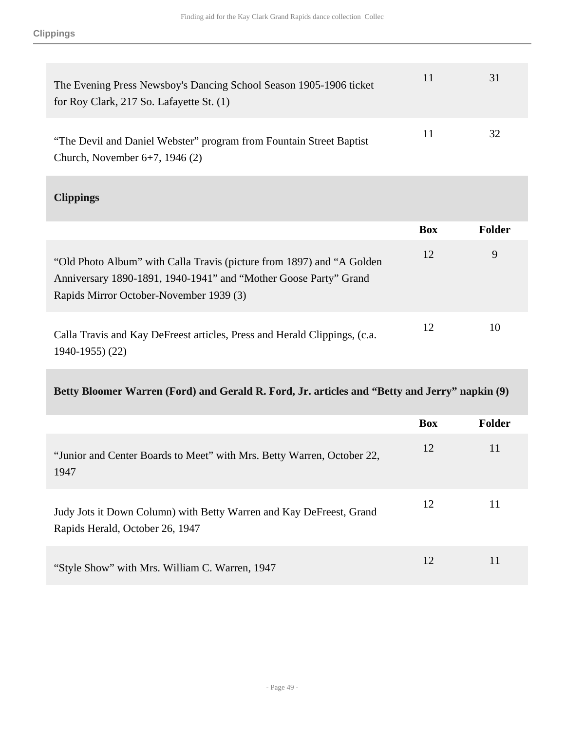| The Evening Press Newsboy's Dancing School Season 1905-1906 ticket<br>for Roy Clark, 217 So. Lafayette St. $(1)$ | 11 | 31 |
|------------------------------------------------------------------------------------------------------------------|----|----|
| "The Devil and Daniel Webster" program from Fountain Street Baptist<br>Church, November $6+7$ , 1946 (2)         | 11 | 32 |

# **Clippings**

|                                                                                                                                                                                      | <b>Box</b> | <b>Folder</b> |
|--------------------------------------------------------------------------------------------------------------------------------------------------------------------------------------|------------|---------------|
| "Old Photo Album" with Calla Travis (picture from 1897) and "A Golden<br>Anniversary 1890-1891, 1940-1941" and "Mother Goose Party" Grand<br>Rapids Mirror October-November 1939 (3) | 12         | 9             |
| Calla Travis and Kay DeFreest articles, Press and Herald Clippings, (c.a.<br>$1940 - 1955$ (22)                                                                                      | 12         | 10            |

# **Betty Bloomer Warren (Ford) and Gerald R. Ford, Jr. articles and "Betty and Jerry" napkin (9)**

|                                                                                                        | <b>Box</b> | <b>Folder</b> |
|--------------------------------------------------------------------------------------------------------|------------|---------------|
| "Junior and Center Boards to Meet" with Mrs. Betty Warren, October 22,<br>1947                         | 12         | 11            |
| Judy Jots it Down Column) with Betty Warren and Kay DeFreest, Grand<br>Rapids Herald, October 26, 1947 | 12         | 11            |
| "Style Show" with Mrs. William C. Warren, 1947                                                         | 12         | 11            |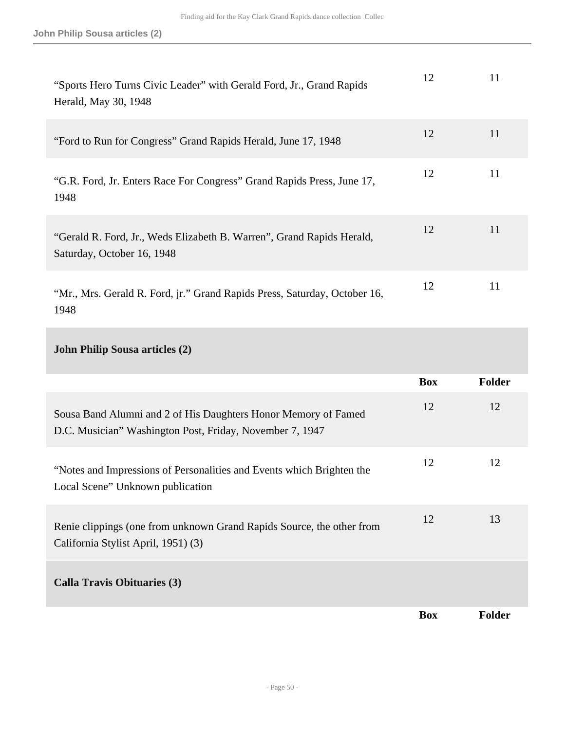| "Sports Hero Turns Civic Leader" with Gerald Ford, Jr., Grand Rapids<br>Herald, May 30, 1948        | 12 | 11 |
|-----------------------------------------------------------------------------------------------------|----|----|
| "Ford to Run for Congress" Grand Rapids Herald, June 17, 1948                                       | 12 | 11 |
| "G.R. Ford, Jr. Enters Race For Congress" Grand Rapids Press, June 17,<br>1948                      | 12 | 11 |
| "Gerald R. Ford, Jr., Weds Elizabeth B. Warren", Grand Rapids Herald,<br>Saturday, October 16, 1948 | 12 | 11 |
| "Mr., Mrs. Gerald R. Ford, jr." Grand Rapids Press, Saturday, October 16,<br>1948                   | 12 | 11 |

# **John Philip Sousa articles (2)**

|                                                                                                                            | <b>Box</b> | <b>Folder</b> |
|----------------------------------------------------------------------------------------------------------------------------|------------|---------------|
| Sousa Band Alumni and 2 of His Daughters Honor Memory of Famed<br>D.C. Musician" Washington Post, Friday, November 7, 1947 | 12         | 12            |
| "Notes and Impressions of Personalities and Events which Brighten the<br>Local Scene" Unknown publication                  | 12         | 12            |
| Renie clippings (one from unknown Grand Rapids Source, the other from<br>California Stylist April, 1951) (3)               | 12         | 13            |
| <b>Calla Travis Obituaries (3)</b>                                                                                         |            |               |
|                                                                                                                            | <b>Box</b> | <b>Folder</b> |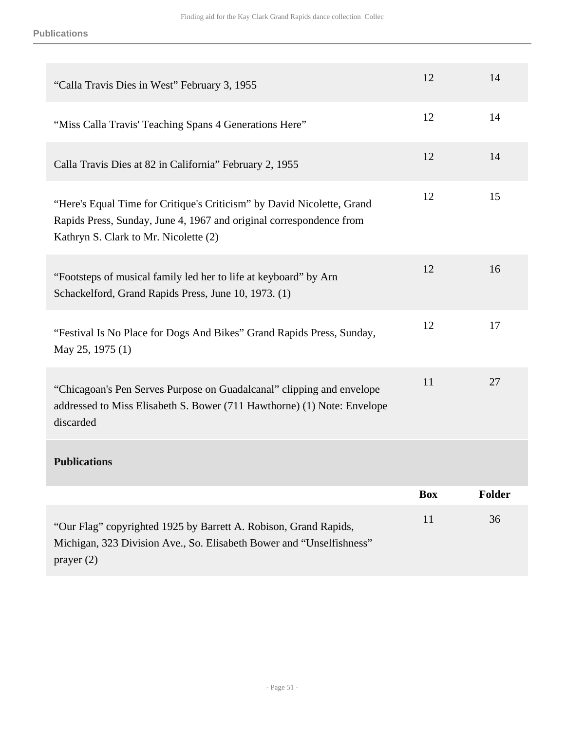| "Calla Travis Dies in West" February 3, 1955                                                                                                                                           | 12         | 14            |
|----------------------------------------------------------------------------------------------------------------------------------------------------------------------------------------|------------|---------------|
| "Miss Calla Travis' Teaching Spans 4 Generations Here"                                                                                                                                 | 12         | 14            |
| Calla Travis Dies at 82 in California" February 2, 1955                                                                                                                                | 12         | 14            |
| "Here's Equal Time for Critique's Criticism" by David Nicolette, Grand<br>Rapids Press, Sunday, June 4, 1967 and original correspondence from<br>Kathryn S. Clark to Mr. Nicolette (2) | 12         | 15            |
| "Footsteps of musical family led her to life at keyboard" by Arn<br>Schackelford, Grand Rapids Press, June 10, 1973. (1)                                                               | 12         | 16            |
| "Festival Is No Place for Dogs And Bikes" Grand Rapids Press, Sunday,<br>May 25, 1975 (1)                                                                                              | 12         | 17            |
| "Chicagoan's Pen Serves Purpose on Guadalcanal" clipping and envelope<br>addressed to Miss Elisabeth S. Bower (711 Hawthorne) (1) Note: Envelope<br>discarded                          | 11         | 27            |
| <b>Publications</b>                                                                                                                                                                    |            |               |
|                                                                                                                                                                                        | <b>Box</b> | <b>Folder</b> |
| "Our Flag" copyrighted 1925 by Barrett A. Robison, Grand Rapids,<br>Michigan, 323 Division Ave., So. Elisabeth Bower and "Unselfishness"<br>prayer $(2)$                               | 11         | 36            |